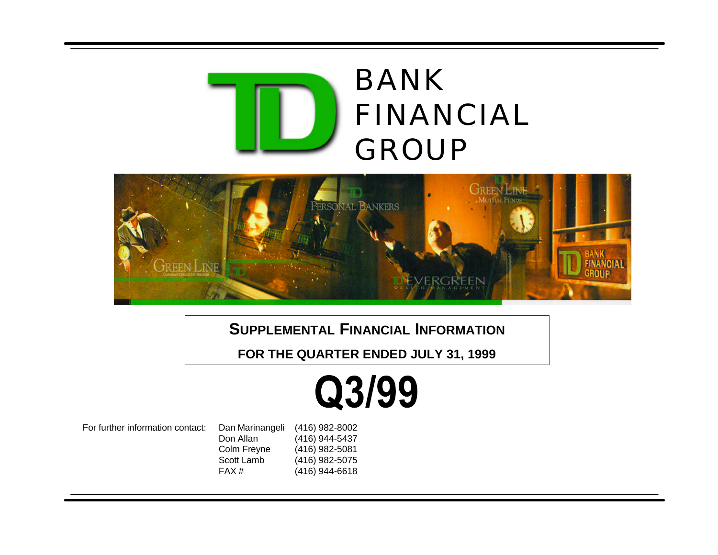



# **SUPPLEMENTAL FINANCIAL INFORMATION**

**[FOR THE QUARTER ENDED JULY 31, 1999](#page-1-0)**

# Q3/99

For further information contact: Dan Marinangeli Don Allan Colm Freyne Scott Lamb FAX # (416) 982-8002 (416) 944-5437 (416) 982-5081 (416) 982-5075 (416) 944-6618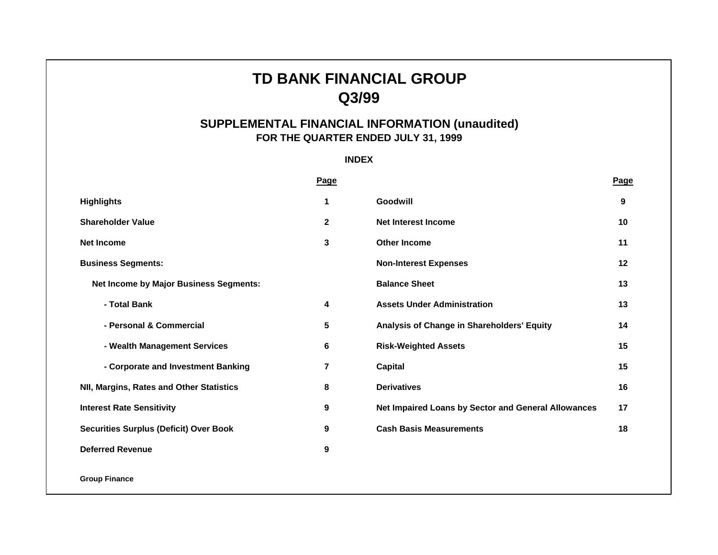# **TD BANK FINANCIAL GROUP Q3/99**

# **SUPPLEMENTAL FINANCIAL INFORMATION (unaudited) FOR THE QUARTER ENDED JULY 31, 1999**

**INDEX**

<span id="page-1-0"></span>

|                                               | <b>Page</b>    |                                                     | <b>Page</b> |
|-----------------------------------------------|----------------|-----------------------------------------------------|-------------|
| <b>Highlights</b>                             | 1              | Goodwill                                            | 9           |
| <b>Shareholder Value</b>                      | $\mathbf 2$    | <b>Net Interest Income</b>                          | 10          |
| <b>Net Income</b>                             | 3              | Other Income                                        | 11          |
| <b>Business Segments:</b>                     |                | <b>Non-Interest Expenses</b>                        | $12 \,$     |
| <b>Net Income by Major Business Segments:</b> |                | <b>Balance Sheet</b>                                | 13          |
| - Total Bank                                  | 4              | <b>Assets Under Administration</b>                  | 13          |
| - Personal & Commercial                       | 5              | Analysis of Change in Shareholders' Equity          | 14          |
| - Wealth Management Services                  | 6              | <b>Risk-Weighted Assets</b>                         | 15          |
| - Corporate and Investment Banking            | $\overline{7}$ | <b>Capital</b>                                      | 15          |
| NII, Margins, Rates and Other Statistics      | 8              | <b>Derivatives</b>                                  | 16          |
| <b>Interest Rate Sensitivity</b>              | 9              | Net Impaired Loans by Sector and General Allowances | 17          |
| <b>Securities Surplus (Deficit) Over Book</b> | 9              | <b>Cash Basis Measurements</b>                      | 18          |
| <b>Deferred Revenue</b>                       | 9              |                                                     |             |
|                                               |                |                                                     |             |

**Group Finance**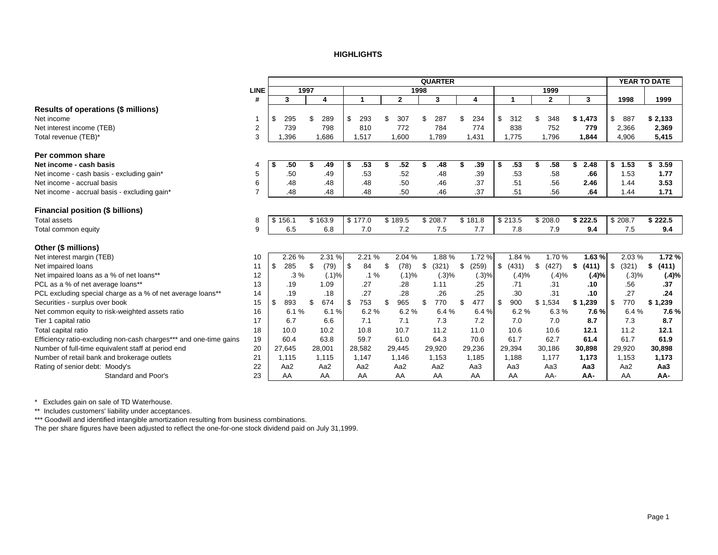#### **HIGHLIGHTS**

<span id="page-2-0"></span>

|                                                                   |                |            |         |        |           |    |              | <b>QUARTER</b> |             |         |        |              |                 | <b>YEAR TO DATE</b> |                 |
|-------------------------------------------------------------------|----------------|------------|---------|--------|-----------|----|--------------|----------------|-------------|---------|--------|--------------|-----------------|---------------------|-----------------|
|                                                                   | <b>LINE</b>    |            | 1997    |        |           |    | 1998         |                |             |         |        | 1999         |                 |                     |                 |
|                                                                   | #              | 3          |         | 4      | 1         |    | $\mathbf{2}$ | 3              | 4           |         | 1      | $\mathbf{2}$ | 3               | 1998                | 1999            |
| Results of operations (\$ millions)                               |                |            |         |        |           |    |              |                |             |         |        |              |                 |                     |                 |
| Net income                                                        |                | \$<br>295  | \$.     | 289    | \$<br>293 | £. | 307          | \$<br>287      | \$<br>234   | \$      | 312    | \$<br>348    | \$1,473         | \$<br>887           | \$2,133         |
| Net interest income (TEB)                                         | 2              | 739        |         | 798    | 810       |    | 772          | 784            | 774         |         | 838    | 752          | 779             | 2,366               | 2,369           |
| Total revenue (TEB)*                                              | 3              | .396       |         | 1,686  | 1,517     |    | 1,600        | 1,789          | 1,431       |         | 1,775  | 1,796        | 1,844           | 4,906               | 5,415           |
| Per common share                                                  |                |            |         |        |           |    |              |                |             |         |        |              |                 |                     |                 |
| Net income - cash basis                                           | 4              | .50<br>- 5 | \$      | .49    | .53<br>\$ | S  | .52          | \$<br>.48      | .39<br>\$   | - 55    | .53    | .58<br>\$    | 2.48<br>\$      | 1.53<br>\$          | 3.59<br>\$      |
| Net income - cash basis - excluding gain*                         | 5              | .50        |         | .49    | .53       |    | .52          | .48            | .39         |         | .53    | .58          | .66             | 1.53                | 1.77            |
| Net income - accrual basis                                        | 6              | .48        |         | .48    | .48       |    | .50          | .46            | .37         |         | .51    | .56          | 2.46            | 1.44                | 3.53            |
| Net income - accrual basis - excluding gain*                      | $\overline{7}$ | .48        |         | .48    | .48       |    | .50          | .46            | .37         |         | .51    | .56          | .64             | 1.44                | 1.71            |
| <b>Financial position (\$ billions)</b><br><b>Total assets</b>    |                | \$156.1    | \$163.9 |        | \$177.0   |    | \$189.5      | \$208.7        | \$181.8     | \$213.5 |        | \$208.0      | \$222.5         | \$208.7             | \$222.5         |
| Total common equity                                               | 9              | 6.5        |         | 6.8    | 7.0       |    | 7.2          | 7.5            | 7.7         |         | 7.8    | 7.9          | 9.4             | 7.5                 | 9.4             |
|                                                                   |                |            |         |        |           |    |              |                |             |         |        |              |                 |                     |                 |
| Other (\$ millions)                                               |                |            |         |        |           |    |              |                |             |         |        |              |                 |                     |                 |
| Net interest margin (TEB)                                         | 10             | 2.26%      |         | 2.31 % | 2.21 %    |    | 2.04 %       | 1.88%          | 1.72%       |         | 1.84 % | 1.70%        | 1.63%           | 2.03%               | 1.72%           |
| Net impaired loans                                                | 11             | 285<br>\$  | \$.     | (79)   | \$<br>84  |    | (78)         | \$<br>(321)    | \$<br>(259) | \$      | (431)  | (427)<br>\$  | (411)<br>\$     | \$<br>(321)         | (411)<br>\$     |
| Net impaired loans as a % of net loans**                          | 12             | .3%        |         | (.1)%  | $.1\%$    |    | (.1)%        | (.3)%          | (.3)%       |         | (.4)%  | (.4)%        | (.4)%           | (.3)%               | (.4)%           |
| PCL as a % of net average loans**                                 | 13             | .19        |         | 1.09   | .27       |    | .28          | 1.11           | .25         |         | .71    | .31          | .10             | .56                 | .37             |
| PCL excluding special charge as a % of net average loans**        | 14             | .19        |         | .18    | .27       |    | .28          | .26            | .25         |         | .30    | .31          | .10             | .27                 | .24             |
| Securities - surplus over book                                    | 15             | -S<br>893  | \$.     | 674    | -S<br>753 | £. | 965          | \$<br>770      | 477<br>\$.  | \$      | 900    | \$1,534      | \$1,239         | -\$<br>770          | \$1.239         |
| Net common equity to risk-weighted assets ratio                   | 16             | 6.1%       |         | 6.1%   | 6.2%      |    | 6.2%         | 6.4%           | 6.4%        |         | 6.2%   | 6.3%         | 7.6%            | 6.4%                | 7.6%            |
| Tier 1 capital ratio                                              | 17             | 6.7        |         | 6.6    | 7.1       |    | 7.1          | 7.3            | 7.2         |         | 7.0    | 7.0          | 8.7             | 7.3                 | 8.7             |
| Total capital ratio                                               | 18             | 10.0       |         | 10.2   | 10.8      |    | 10.7         | 11.2           | 11.0        |         | 10.6   | 10.6         | 12.1            | 11.2                | 12.1            |
| Efficiency ratio-excluding non-cash charges*** and one-time gains | 19             | 60.4       |         | 63.8   | 59.7      |    | 61.0         | 64.3           | 70.6        |         | 61.7   | 62.7         | 61.4            | 61.7                | 61.9            |
| Number of full-time equivalent staff at period end                | 20             | 27,645     | 28,001  |        | 28,582    |    | 29,445       | 29,920         | 29,236      | 29,394  |        | 30,186       | 30,898          | 29,920              | 30,898          |
| Number of retail bank and brokerage outlets                       | 21             | 1.115      |         | 1,115  | 1,147     |    | 1,146        | 1,153          | 1,185       |         | 1,188  | 1,177        | 1,173           | 1,153               | 1,173           |
| Rating of senior debt: Moody's                                    | 22             | Aa2        |         | Aa2    | Aa2       |    | Aa2          | Aa2            | Aa3         |         | Aa3    | Aa3          | Aa <sub>3</sub> | Aa2                 | Aa <sub>3</sub> |
| Standard and Poor's                                               | 23             | AA         |         | AA     | AA        |    | AA           | AA             | AA          |         | AA     | AA-          | AA-             | AA                  | AA-             |

\* Excludes gain on sale of TD Waterhouse.

\*\* Includes customers' liability under acceptances.

\*\*\* Goodwill and identified intangible amortization resulting from business combinations.

The per share figures have been adjusted to reflect the one-for-one stock dividend paid on July 31,1999.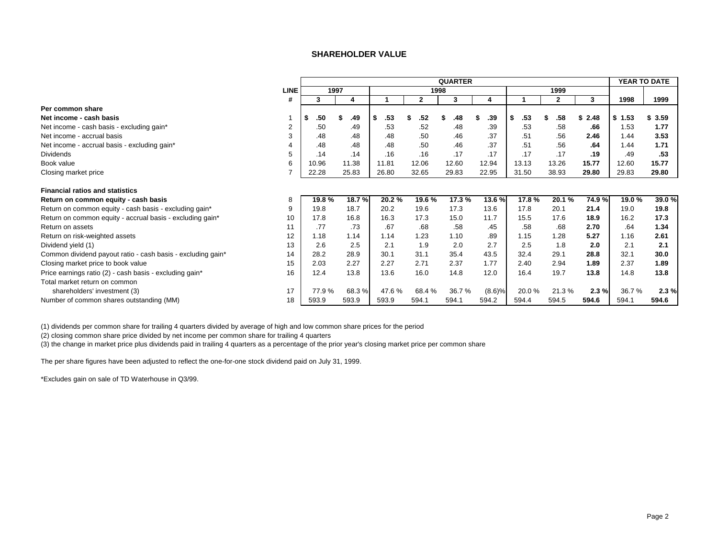#### **SHAREHOLDER VALUE**

<span id="page-3-0"></span>

|                                                             |                |           |       |           |        | <b>QUARTER</b> |        |           |          |        | YEAR TO DATE |        |
|-------------------------------------------------------------|----------------|-----------|-------|-----------|--------|----------------|--------|-----------|----------|--------|--------------|--------|
|                                                             | <b>LINE</b>    | 1997      |       |           | 1998   |                |        |           | 1999     |        |              |        |
|                                                             | #              | 3         | 4     |           | 2      | 3              | 4      |           | 2        | 3      | 1998         | 1999   |
| Per common share                                            |                |           |       |           |        |                |        |           |          |        |              |        |
| Net income - cash basis                                     |                | \$<br>.50 | .49   | \$<br>.53 | .52    | .48            | .39    | \$<br>.53 | .58<br>S | \$2.48 | \$1.53       | \$3.59 |
| Net income - cash basis - excluding gain*                   | $\overline{2}$ | .50       | .49   | .53       | .52    | .48            | .39    | .53       | .58      | .66    | 1.53         | 1.77   |
| Net income - accrual basis                                  | 3              | .48       | .48   | .48       | .50    | .46            | .37    | .51       | .56      | 2.46   | 1.44         | 3.53   |
| Net income - accrual basis - excluding gain*                |                | .48       | .48   | .48       | .50    | .46            | .37    | .51       | .56      | .64    | 1.44         | 1.71   |
| Dividends                                                   | 5              | .14       | .14   | .16       | .16    | .17            | .17    | .17       | .17      | .19    | .49          | .53    |
| Book value                                                  | 6              | 10.96     | 11.38 | 11.81     | 12.06  | 12.60          | 12.94  | 13.13     | 13.26    | 15.77  | 12.60        | 15.77  |
| Closing market price                                        |                | 22.28     | 25.83 | 26.80     | 32.65  | 29.83          | 22.95  | 31.50     | 38.93    | 29.80  | 29.83        | 29.80  |
| <b>Financial ratios and statistics</b>                      |                |           |       |           |        |                |        |           |          |        |              |        |
| Return on common equity - cash basis                        | 8              | 19.8%     | 18.7% | 20.2%     | 19.6 % | 17.3 %         | 13.6 % | 17.8%     | 20.1 %   | 74.9 % | 19.0%        | 39.0%  |
| Return on common equity - cash basis - excluding gain*      | 9              | 19.8      | 18.7  | 20.2      | 19.6   | 17.3           | 13.6   | 17.8      | 20.1     | 21.4   | 19.0         | 19.8   |
| Return on common equity - accrual basis - excluding gain*   | 10             | 17.8      | 16.8  | 16.3      | 17.3   | 15.0           | 11.7   | 15.5      | 17.6     | 18.9   | 16.2         | 17.3   |
| Return on assets                                            | 11             | .77       | .73   | .67       | .68    | .58            | .45    | .58       | .68      | 2.70   | .64          | 1.34   |
| Return on risk-weighted assets                              | 12             | 1.18      | 1.14  | 1.14      | 1.23   | 1.10           | .89    | 1.15      | 1.28     | 5.27   | 1.16         | 2.61   |
| Dividend yield (1)                                          | 13             | 2.6       | 2.5   | 2.1       | 1.9    | 2.0            | 2.7    | 2.5       | 1.8      | 2.0    | 2.1          | 2.1    |
| Common dividend payout ratio - cash basis - excluding gain* | 14             | 28.2      | 28.9  | 30.1      | 31.1   | 35.4           | 43.5   | 32.4      | 29.1     | 28.8   | 32.1         | 30.0   |
| Closing market price to book value                          | 15             | 2.03      | 2.27  | 2.27      | 2.71   | 2.37           | 1.77   | 2.40      | 2.94     | 1.89   | 2.37         | 1.89   |
| Price earnings ratio (2) - cash basis - excluding gain*     | 16             | 12.4      | 13.8  | 13.6      | 16.0   | 14.8           | 12.0   | 16.4      | 19.7     | 13.8   | 14.8         | 13.8   |
| Total market return on common                               |                |           |       |           |        |                |        |           |          |        |              |        |
| shareholders' investment (3)                                | 17             | 77.9%     | 68.3% | 47.6%     | 68.4%  | 36.7%          | (8.6)% | 20.0%     | 21.3%    | 2.3%   | 36.7%        | 2.3%   |
| Number of common shares outstanding (MM)                    | 18             | 593.9     | 593.9 | 593.9     | 594.1  | 594.1          | 594.2  | 594.4     | 594.5    | 594.6  | 594.1        | 594.6  |

(1) dividends per common share for trailing 4 quarters divided by average of high and low common share prices for the period

(2) closing common share price divided by net income per common share for trailing 4 quarters

(3) the change in market price plus dividends paid in trailing 4 quarters as a percentage of the prior year's closing market price per common share

The per share figures have been adjusted to reflect the one-for-one stock dividend paid on July 31, 1999.

\*Excludes gain on sale of TD Waterhouse in Q3/99.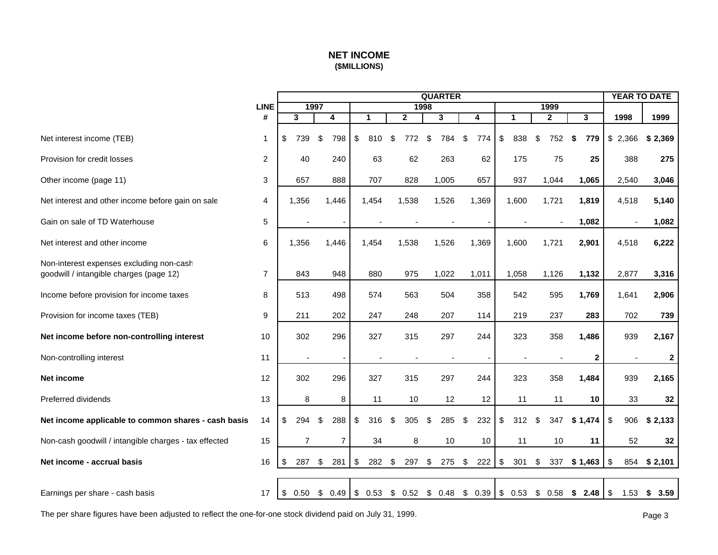## **NET INCOME (\$MILLIONS)**

<span id="page-4-0"></span>

|                                                                                     |                |                         |      |                    |           |                    |      | <b>QUARTER</b> |                          |                      |              |         |              |           |    | <b>YEAR TO DATE</b> |
|-------------------------------------------------------------------------------------|----------------|-------------------------|------|--------------------|-----------|--------------------|------|----------------|--------------------------|----------------------|--------------|---------|--------------|-----------|----|---------------------|
|                                                                                     | <b>LINE</b>    |                         | 1997 |                    |           |                    | 1998 |                |                          |                      | 1999         |         |              |           |    |                     |
|                                                                                     | #              | $\overline{\mathbf{3}}$ |      | 4                  | 1         | $\mathbf{2}$       |      | 3              | 4                        | $\blacktriangleleft$ | $\mathbf{2}$ | 3       |              | 1998      |    | 1999                |
| Net interest income (TEB)                                                           | 1              | \$<br>739               | \$   | 798                | \$<br>810 | \$<br>772          | \$   | 784            | \$<br>774                | \$<br>838            | \$<br>752    | \$      | 779          | \$2,366   |    | \$2,369             |
| Provision for credit losses                                                         | $\overline{c}$ | 40                      |      | 240                | 63        | 62                 |      | 263            | 62                       | 175                  | 75           |         | 25           | 388       |    | 275                 |
| Other income (page 11)                                                              | 3              | 657                     |      | 888                | 707       | 828                |      | 1,005          | 657                      | 937                  | 1,044        | 1,065   |              | 2,540     |    | 3,046               |
| Net interest and other income before gain on sale                                   | 4              | 1,356                   |      | 1,446              | 1,454     | 1,538              |      | 1,526          | 1,369                    | 1,600                | 1,721        | 1,819   |              | 4,518     |    | 5,140               |
| Gain on sale of TD Waterhouse                                                       | 5              |                         |      |                    |           |                    |      |                | $\overline{\phantom{a}}$ |                      |              | 1,082   |              |           |    | 1,082               |
| Net interest and other income                                                       | 6              | 1,356                   |      | 1,446              | 1,454     | 1,538              |      | 1,526          | 1,369                    | 1,600                | 1,721        | 2,901   |              | 4,518     |    | 6,222               |
| Non-interest expenses excluding non-cash<br>goodwill / intangible charges (page 12) | $\overline{7}$ | 843                     |      | 948                | 880       | 975                |      | 1,022          | 1,011                    | 1,058                | 1,126        | 1,132   |              | 2,877     |    | 3,316               |
| Income before provision for income taxes                                            | 8              | 513                     |      | 498                | 574       | 563                |      | 504            | 358                      | 542                  | 595          | 1,769   |              | 1,641     |    | 2,906               |
| Provision for income taxes (TEB)                                                    | 9              | 211                     |      | 202                | 247       | 248                |      | 207            | 114                      | 219                  | 237          |         | 283          | 702       |    | 739                 |
| Net income before non-controlling interest                                          | 10             | 302                     |      | 296                | 327       | 315                |      | 297            | 244                      | 323                  | 358          | 1,486   |              | 939       |    | 2,167               |
| Non-controlling interest                                                            | 11             | $\blacksquare$          |      |                    |           | $\blacksquare$     |      |                |                          |                      |              |         | $\mathbf{2}$ |           |    | $\mathbf{2}$        |
| Net income                                                                          | 12             | 302                     |      | 296                | 327       | 315                |      | 297            | 244                      | 323                  | 358          | 1,484   |              | 939       |    | 2,165               |
| Preferred dividends                                                                 | 13             | 8                       |      | 8                  | 11        | 10                 |      | 12             | 12                       | 11                   | 11           |         | 10           |           | 33 | 32                  |
| Net income applicable to common shares - cash basis                                 | 14             | \$<br>294               | \$   | 288                | \$<br>316 | \$<br>305          | \$   | 285            | \$<br>232                | \$<br>312            | \$<br>347    | \$1,474 |              | \$<br>906 |    | \$2,133             |
| Non-cash goodwill / intangible charges - tax effected                               | 15             | $\overline{7}$          |      | $\overline{7}$     | 34        | 8                  |      | 10             | 10                       | 11                   | 10           |         | 11           |           | 52 | 32                  |
| Net income - accrual basis                                                          | 16             | \$<br>287               | \$   | 281                | \$<br>282 | \$<br>297          | \$   | 275            | \$<br>222                | \$<br>301            | \$<br>337    |         |              | 854       |    | \$2,101             |
|                                                                                     |                |                         |      |                    |           |                    |      |                |                          |                      |              |         |              |           |    |                     |
| Earnings per share - cash basis                                                     | 17             | \$<br>0.50              |      | $$0.49$ $$0.53$ \$ |           | $0.52 \quad $0.48$ |      |                | \$0.39                   | \$0.53               | \$0.58       |         |              |           |    | 1.53 \$ 3.59        |

The per share figures have been adjusted to reflect the one-for-one stock dividend paid on July 31, 1999.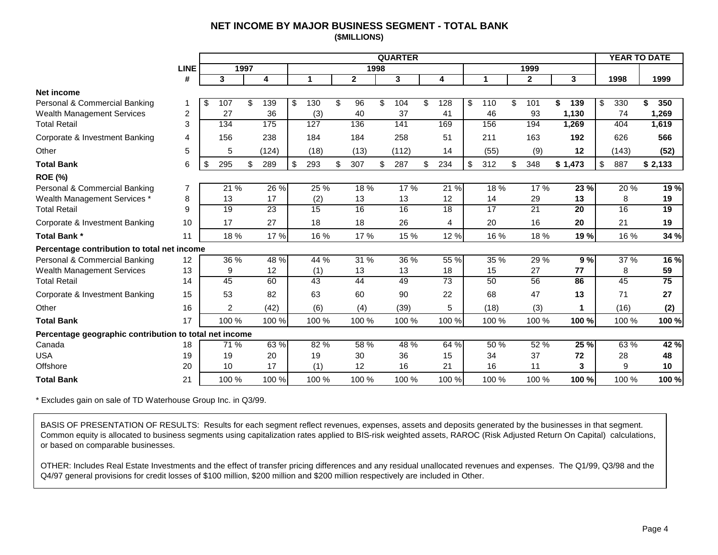## **NET INCOME BY MAJOR BUSINESS SEGMENT - TOTAL BANK (\$MILLIONS)**

<span id="page-5-0"></span>

|                                                        |                |           |      |       |                 |              |      | <b>QUARTER</b> |           |           |              |         | <b>YEAR TO DATE</b> |         |       |
|--------------------------------------------------------|----------------|-----------|------|-------|-----------------|--------------|------|----------------|-----------|-----------|--------------|---------|---------------------|---------|-------|
|                                                        | <b>LINE</b>    |           | 1997 |       |                 |              | 1998 |                |           |           | 1999         |         |                     |         |       |
|                                                        | #              | 3         |      | 4     | 1               | $\mathbf{2}$ |      | 3              | 4         | 1         | $\mathbf{2}$ | 3       | 1998                | 1999    |       |
| Net income                                             |                |           |      |       |                 |              |      |                |           |           |              |         |                     |         |       |
| Personal & Commercial Banking                          |                | \$<br>107 | \$   | 139   | \$<br>130       | \$<br>96     | \$   | 104            | \$<br>128 | \$<br>110 | \$<br>101    | 139     | \$<br>330           | 350     |       |
| <b>Wealth Management Services</b>                      | $\overline{c}$ | 27        |      | 36    | (3)             | 40           |      | 37             | 41        | 46        | 93           | 1,130   | 74                  | 1,269   |       |
| <b>Total Retail</b>                                    | 3              | 134       |      | 175   | 127             | 136          |      | 141            | 169       | 156       | 194          | 1,269   | 404                 | 1,619   |       |
| Corporate & Investment Banking                         | 4              | 156       |      | 238   | 184             | 184          |      | 258            | 51        | 211       | 163          | 192     | 626                 |         | 566   |
| Other                                                  | 5              | 5         |      | (124) | (18)            | (13)         |      | (112)          | 14        | (55)      | (9)          | $12 \,$ | (143)               |         | (52)  |
| <b>Total Bank</b>                                      | 6              | \$<br>295 |      | 289   | \$<br>293       | \$<br>307    | \$   | 287            | \$<br>234 | \$<br>312 | \$<br>348    | \$1,473 | \$<br>887           | \$2,133 |       |
| <b>ROE (%)</b>                                         |                |           |      |       |                 |              |      |                |           |           |              |         |                     |         |       |
| Personal & Commercial Banking                          | $\overline{7}$ | 21 %      |      | 26 %  | 25 %            | 18 %         |      | 17%            | 21%       | 18 %      | 17%          | 23 %    | 20 %                |         | 19 %  |
| Wealth Management Services *                           | 8              | 13        |      | 17    | (2)             | 13           |      | 13             | 12        | 14        | 29           | 13      | 8                   |         | 19    |
| <b>Total Retail</b>                                    | 9              | 19        |      | 23    | 15              | 16           |      | 16             | 18        | 17        | 21           | 20      | 16                  |         | 19    |
| Corporate & Investment Banking                         | 10             | 17        |      | 27    | 18              | 18           |      | 26             | 4         | 20        | 16           | 20      | 21                  |         | 19    |
| <b>Total Bank*</b>                                     | 11             | 18%       |      | 17 %  | 16 %            | 17 %         |      | 15 %           | 12 %      | 16 %      | 18 %         | 19 %    | 16 %                |         | 34 %  |
| Percentage contribution to total net income            |                |           |      |       |                 |              |      |                |           |           |              |         |                     |         |       |
| Personal & Commercial Banking                          | 12             | 36 %      |      | 48 %  | 44 %            | 31%          |      | 36 %           | 55 %      | 35 %      | 29 %         | 9%      | 37 %                |         | 16 %  |
| <b>Wealth Management Services</b>                      | 13             | 9         |      | 12    | (1)             | 13           |      | 13             | 18        | 15        | 27           | 77      | 8                   |         | 59    |
| <b>Total Retail</b>                                    | 14             | 45        |      | 60    | $\overline{43}$ | 44           |      | 49             | 73        | 50        | 56           | 86      | 45                  |         | 75    |
| Corporate & Investment Banking                         | 15             | 53        |      | 82    | 63              | 60           |      | 90             | 22        | 68        | 47           | 13      | 71                  |         | 27    |
| Other                                                  | 16             | 2         |      | (42)  | (6)             | (4)          |      | (39)           | 5         | (18)      | (3)          | 1       | (16)                |         | (2)   |
| <b>Total Bank</b>                                      | 17             | 100 %     |      | 100 % | 100 %           | 100 %        |      | 100 %          | 100 %     | 100 %     | 100 %        | 100 %   | 100 %               |         | 100 % |
| Percentage geographic contribution to total net income |                |           |      |       |                 |              |      |                |           |           |              |         |                     |         |       |
| Canada                                                 | 18             | 71 %      |      | 63 %  | 82 %            | 58 %         |      | 48 %           | 64 %      | 50 %      | 52%          | 25 %    | 63 %                |         | 42 %  |
| <b>USA</b>                                             | 19             | 19        |      | 20    | 19              | 30           |      | 36             | 15        | 34        | 37           | 72      | 28                  |         | 48    |
| Offshore                                               | 20             | 10        |      | 17    | (1)             | 12           |      | 16             | 21        | 16        | 11           | 3       | 9                   |         | 10    |
| <b>Total Bank</b>                                      | 21             | 100 %     |      | 100 % | 100 %           | 100 %        |      | 100 %          | 100 %     | 100 %     | 100 %        | 100 %   | 100 %               |         | 100 % |

\* Excludes gain on sale of TD Waterhouse Group Inc. in Q3/99.

BASIS OF PRESENTATION OF RESULTS: Results for each segment reflect revenues, expenses, assets and deposits generated by the businesses in that segment. Common equity is allocated to business segments using capitalization rates applied to BIS-risk weighted assets, RAROC (Risk Adjusted Return On Capital) calculations, or based on comparable businesses.

OTHER: Includes Real Estate Investments and the effect of transfer pricing differences and any residual unallocated revenues and expenses. The Q1/99, Q3/98 and the Q4/97 general provisions for credit losses of \$100 million, \$200 million and \$200 million respectively are included in Other.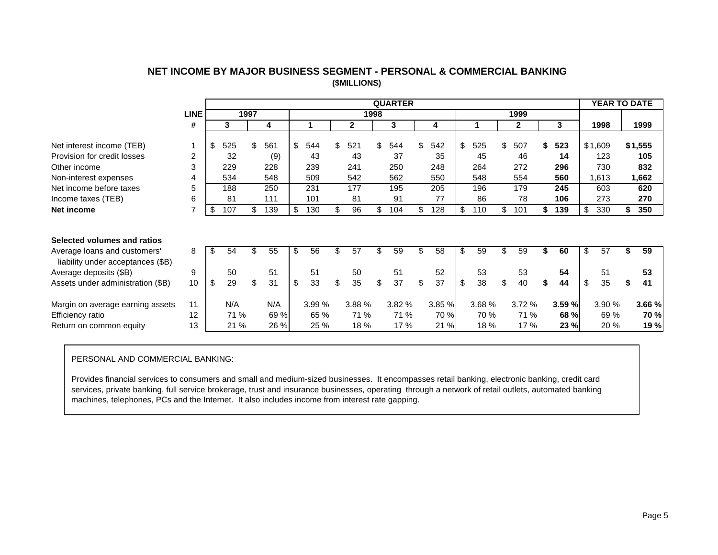| 1999<br>3<br>2<br>523<br>507<br>\$<br>46<br>14<br>272<br>296<br>560<br>554<br>245<br>179<br>78<br>106 |      | 1998<br>\$1,609<br>123<br>730<br>1,613<br>603<br>273 | \$1,555<br>1,662 | 1999<br>105<br>832<br>620 |
|-------------------------------------------------------------------------------------------------------|------|------------------------------------------------------|------------------|---------------------------|
|                                                                                                       |      |                                                      |                  |                           |
|                                                                                                       |      |                                                      |                  |                           |
|                                                                                                       |      |                                                      |                  |                           |
|                                                                                                       |      |                                                      |                  |                           |
|                                                                                                       |      |                                                      |                  |                           |
|                                                                                                       |      |                                                      |                  |                           |
|                                                                                                       |      |                                                      |                  |                           |
|                                                                                                       |      |                                                      |                  |                           |
|                                                                                                       |      |                                                      |                  | 270                       |
| 101<br>139<br>S.                                                                                      |      | \$<br>330                                            | \$               | 350                       |
|                                                                                                       |      |                                                      |                  |                           |
|                                                                                                       |      |                                                      |                  |                           |
|                                                                                                       |      |                                                      |                  |                           |
| 59<br>60<br>\$                                                                                        |      | \$<br>57                                             |                  | 59                        |
| 54<br>53                                                                                              |      | 51                                                   |                  | 53                        |
| 40<br>44<br>\$                                                                                        |      | 35                                                   | \$               | 41                        |
|                                                                                                       |      |                                                      |                  |                           |
| 3.72 %                                                                                                |      |                                                      |                  | 3.66 %                    |
| 71 %                                                                                                  |      |                                                      |                  | <b>70 %</b>               |
|                                                                                                       |      |                                                      |                  | 19 %                      |
|                                                                                                       | 17 % | 3.59 %<br>68 %<br>23 %                               | \$               | 3.90 %<br>69 %<br>20 %    |

# **NET INCOME BY MAJOR BUSINESS SEGMENT - PERSONAL & COMMERCIAL BANKING (\$MILLIONS)**

#### PERSONAL AND COMMERCIAL BANKING:

Provides financial services to consumers and small and medium-sized businesses. It encompasses retail banking, electronic banking, credit card services, private banking, full service brokerage, trust and insurance businesses, operating through a network of retail outlets, automated banking machines, telephones, PCs and the Internet. It also includes income from interest rate gapping.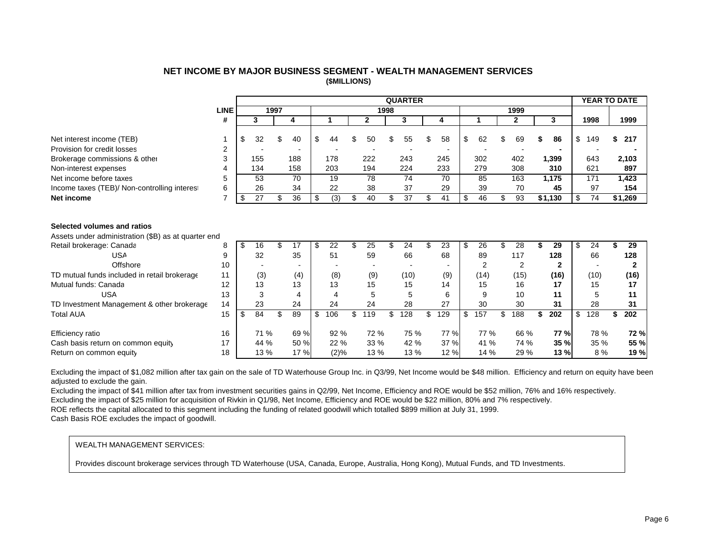#### **NET INCOME BY MAJOR BUSINESS SEGMENT - WEALTH MANAGEMENT SERVICES (\$MILLIONS)**

<span id="page-7-0"></span>

|                                                                                    |                |                       |      |                 |                        |              |      | <b>QUARTER</b> |           |                |    |              |              | <b>YEAR TO DATE</b> |                |
|------------------------------------------------------------------------------------|----------------|-----------------------|------|-----------------|------------------------|--------------|------|----------------|-----------|----------------|----|--------------|--------------|---------------------|----------------|
|                                                                                    | <b>LINE</b>    |                       | 1997 |                 |                        |              | 1998 |                |           |                |    | 1999         |              |                     |                |
|                                                                                    | #              | 3                     |      | 4               |                        | $\mathbf{2}$ |      | 3              | 4         |                |    | $\mathbf{2}$ | 3            | 1998                | 1999           |
| Net interest income (TEB)                                                          |                | \$<br>32              |      | 40              | \$<br>44               | 50           |      | 55             | 58        | \$<br>62       | ٩. | 69           | 86           | \$<br>149           | 217            |
| Provision for credit losses                                                        | $\overline{c}$ |                       |      |                 |                        |              |      |                |           |                |    |              |              |                     |                |
| Brokerage commissions & other                                                      | 3              | 155                   |      | 188             | 178                    | 222          |      | 243            | 245       | 302            |    | 402          | 1,399        | 643                 | 2,103          |
| Non-interest expenses                                                              | 4              | 134                   |      | 158             | 203                    | 194          |      | 224            | 233       | 279            |    | 308          | 310          | 621                 | 897            |
| Net income before taxes                                                            | 5              | 53                    |      | 70              | 19                     | 78           |      | 74             | 70        | 85             |    | 163          | 1,175        | 171                 | 1,423          |
| Income taxes (TEB)/ Non-controlling interest                                       | 6              | 26                    |      | 34              | 22                     | 38           |      | 37             | 29        | 39             |    | 70           | 45           | 97                  | 154            |
| Net income                                                                         |                | \$<br>$\overline{27}$ |      | $\overline{36}$ | \$<br>$\overline{(3)}$ | \$<br>40     | \$.  | 37             | \$<br>41  | \$<br>46       | \$ | 93           | \$1,130      | \$<br>74            | \$1,269        |
|                                                                                    |                |                       |      |                 |                        |              |      |                |           |                |    |              |              |                     |                |
| Selected volumes and ratios<br>Assets under administration (\$B) as at quarter end |                |                       |      |                 |                        |              |      |                |           |                |    |              |              |                     |                |
| Retail brokerage: Canada                                                           | 8              | \$<br>16              |      | 17              | \$<br>22               | \$<br>25     |      | 24             | \$<br>23  | \$<br>26       | \$ | 28           | 29           | \$<br>24            | 29             |
| <b>USA</b>                                                                         | 9              | 32                    |      | 35              | 51                     | 59           |      | 66             | 68        | 89             |    | 117          | 128          | 66                  | 128            |
| Offshore                                                                           | 10             |                       |      |                 |                        |              |      |                |           | $\overline{2}$ |    | 2            | $\mathbf{2}$ |                     | $\overline{2}$ |
| TD mutual funds included in retail brokerage                                       | 11             | (3)                   |      | (4)             | (8)                    | (9)          |      | (10)           | (9)       | (14)           |    | (15)         | (16)         | (10)                | (16)           |
| Mutual funds: Canada                                                               | 12             | 13                    |      | 13              | 13                     | 15           |      | 15             | 14        | 15             |    | 16           | 17           | 15                  | 17             |
| <b>USA</b>                                                                         | 13             | 3                     |      | 4               | 4                      | 5            |      | 5              | 6         | 9              |    | 10           | 11           | 5                   | 11             |
| TD Investment Management & other brokerage                                         | 14             | 23                    |      | 24              | 24                     | 24           |      | 28             | 27        | 30             |    | 30           | 31           | 28                  | 31             |
| <b>Total AUA</b>                                                                   | 15             | \$<br>84              |      | 89              | \$<br>106              | \$<br>119    | \$   | 128            | \$<br>129 | \$<br>157      | \$ | 188          | \$<br>202    | \$<br>128           | 202            |
| Efficiency ratio                                                                   | 16             | 71 %                  |      | 69 %            | 92 %                   | 72 %         |      | 75 %           | 77 %      | 77 %           |    | 66 %         | <b>77 %</b>  | 78 %                | 72%            |
| Cash basis return on common equity                                                 | 17             | 44 %                  |      | 50 %            | 22 %                   | 33 %         |      | 42 %           | 37 %      | 41 %           |    | 74 %         | 35 %         | 35 %                | 55 %           |
| Return on common equity                                                            | 18             | 13%                   |      | 17 %            | (2)%                   | 13 %         |      | 13 %           | 12 %      | 14%            |    | 29 %         | 13 %         | 8%                  | 19%            |

Excluding the impact of \$1,082 million after tax gain on the sale of TD Waterhouse Group Inc. in Q3/99, Net Income would be \$48 million. Efficiency and return on equity have been adjusted to exclude the gain.

Excluding the impact of \$41 million after tax from investment securities gains in Q2/99, Net Income, Efficiency and ROE would be \$52 million, 76% and 16% respectively.

Excluding the impact of \$25 million for acquisition of Rivkin in Q1/98, Net Income, Efficiency and ROE would be \$22 million, 80% and 7% respectively.

ROE reflects the capital allocated to this segment including the funding of related goodwill which totalled \$899 million at July 31, 1999.

Cash Basis ROE excludes the impact of goodwill.

#### WEALTH MANAGEMENT SERVICES:

Provides discount brokerage services through TD Waterhouse (USA, Canada, Europe, Australia, Hong Kong), Mutual Funds, and TD Investments.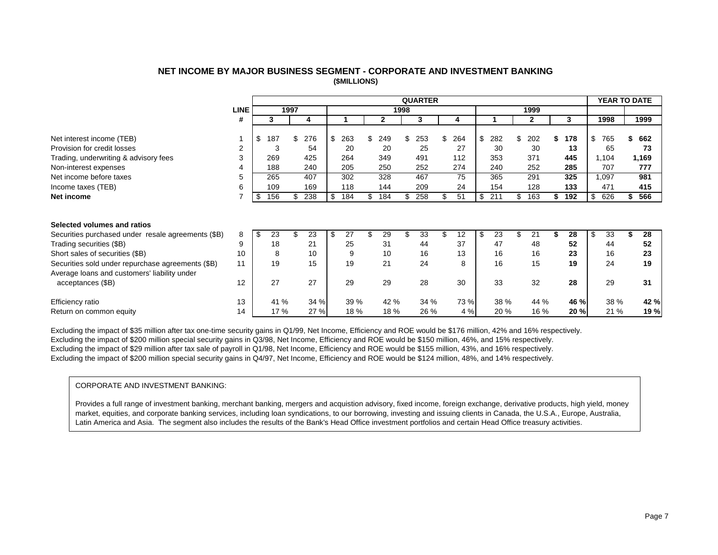#### **NET INCOME BY MAJOR BUSINESS SEGMENT - CORPORATE AND INVESTMENT BANKING (\$MILLIONS)**

<span id="page-8-0"></span>

|                                                                                                   |             |                       |      |                  |                        |                        |      | <b>QUARTER</b>   |     |                  |    |                  |     |                  |   |                  | <b>YEAR TO DATE</b>      |   |                    |
|---------------------------------------------------------------------------------------------------|-------------|-----------------------|------|------------------|------------------------|------------------------|------|------------------|-----|------------------|----|------------------|-----|------------------|---|------------------|--------------------------|---|--------------------|
|                                                                                                   | <b>LINE</b> |                       | 1997 |                  |                        |                        | 1998 |                  |     |                  |    |                  |     | 1999             |   |                  |                          |   |                    |
|                                                                                                   | #           | 3                     |      | 4                |                        | $\mathbf{2}$           |      | 3                |     | 4                |    |                  |     | $\mathbf{2}$     |   | 3                | 1998                     |   | 1999               |
| Net interest income (TEB)<br>Provision for credit losses<br>Trading, underwriting & advisory fees | 2<br>3      | \$<br>187<br>3<br>269 | \$.  | 276<br>54<br>425 | \$<br>263<br>20<br>264 | \$<br>249<br>20<br>349 |      | 253<br>25<br>491 | \$. | 264<br>27<br>112 | \$ | 282<br>30<br>353 | \$. | 202<br>30<br>371 | S | 178<br>13<br>445 | \$<br>765<br>65<br>1,104 | S | 662<br>73<br>1,169 |
| Non-interest expenses                                                                             | 4           | 188                   |      | 240              | 205                    | 250                    |      | 252              |     | 274              |    | 240              |     | 252              |   | 285              | 707                      |   | 777                |
| Net income before taxes<br>Income taxes (TEB)                                                     | 5<br>6      | 265<br>109            |      | 407<br>169       | 302<br>118             | 328<br>144             |      | 467<br>209       |     | 75<br>24         |    | 365<br>154       |     | 291<br>128       |   | 325<br>133       | 1,097<br>471             |   | 981<br>415         |
| Net income                                                                                        |             | \$<br>156             | \$   | 238              | \$<br>184              | \$<br>184              | \$   | 258              | \$. | 51               | \$ | 211              | \$  | 163              |   | 192              | \$<br>626                |   | 566                |
| Selected volumes and ratios                                                                       |             |                       |      |                  |                        |                        |      |                  |     |                  |    |                  |     |                  |   |                  |                          |   |                    |
| Securities purchased under resale agreements (\$B)                                                | 8           | \$<br>23              |      | 23               | \$<br>27               | \$<br>29               |      | 33               |     | 12               | S  | 23               |     | 21               |   | 28               | \$<br>33                 |   | 28                 |
| Trading securities (\$B)                                                                          | 9           | 18                    |      | 21               | 25                     | 31                     |      | 44               |     | 37               |    | 47               |     | 48               |   | 52               | 44                       |   | 52                 |
| Short sales of securities (\$B)                                                                   | 10          | 8                     |      | 10               | 9                      | 10                     |      | 16               |     | 13               |    | 16               |     | 16               |   | 23               | 16                       |   | 23                 |
| Securities sold under repurchase agreements (\$B)<br>Average loans and customers' liability under | 11          | 19                    |      | 15               | 19                     | 21                     |      | 24               |     | 8                |    | 16               |     | 15               |   | 19               | 24                       |   | 19                 |
| acceptances (\$B)                                                                                 | 12          | 27                    |      | 27               | 29                     | 29                     |      | 28               |     | 30               |    | 33               |     | 32               |   | 28               | 29                       |   | 31                 |
| Efficiency ratio                                                                                  | 13          | 41 %                  |      | 34 %             | 39 %                   | 42 %                   |      | 34 %             |     | 73 %             |    | 38 %             |     | 44 %             |   | 46 %             | 38 %                     |   | 42 %               |
| Return on common equity                                                                           | 14          | 17 %                  |      | 27 %             | 18 %                   | 18 %                   |      | 26 %             |     | 4 %              |    | 20 %             |     | 16 %             |   | 20 %             | 21 %                     |   | 19 %               |

Excluding the impact of \$35 million after tax one-time security gains in Q1/99, Net Income, Efficiency and ROE would be \$176 million, 42% and 16% respectively. Excluding the impact of \$200 million special security gains in Q3/98, Net Income, Efficiency and ROE would be \$150 million, 46%, and 15% respectively. Excluding the impact of \$29 million after tax sale of payroll in Q1/98, Net Income, Efficiency and ROE would be \$155 million, 43%, and 16% respectively. Excluding the impact of \$200 million special security gains in Q4/97, Net Income, Efficiency and ROE would be \$124 million, 48%, and 14% respectively.

#### CORPORATE AND INVESTMENT BANKING:

Provides a full range of investment banking, merchant banking, mergers and acquistion advisory, fixed income, foreign exchange, derivative products, high yield, money market, equities, and corporate banking services, including loan syndications, to our borrowing, investing and issuing clients in Canada, the U.S.A., Europe, Australia, Latin America and Asia. The segment also includes the results of the Bank's Head Office investment portfolios and certain Head Office treasury activities.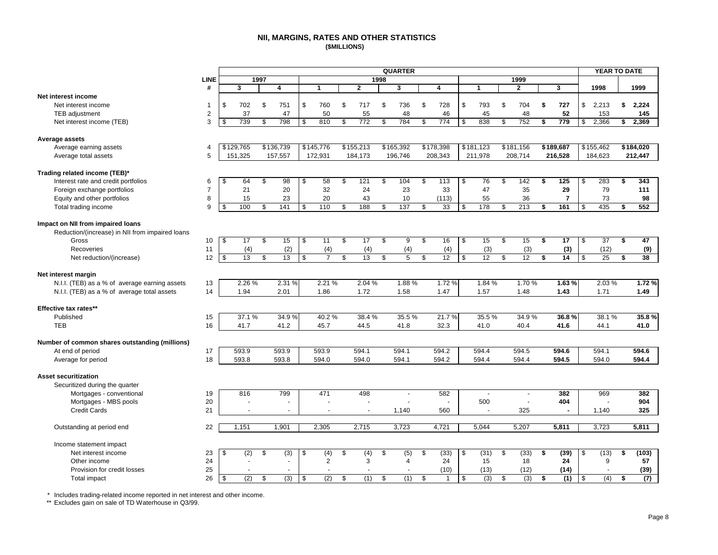#### **NII, MARGINS, RATES AND OTHER STATISTICS (\$MILLIONS)**

<span id="page-9-0"></span>

| 1997<br>1998<br>1999<br><b>LINE</b><br>3<br>1998<br>1999<br>#<br>3<br>4<br>1<br>$\overline{2}$<br>4<br>$\mathbf{1}$<br>$\overline{2}$<br>3<br>Net interest income<br>\$<br>702<br>\$<br>751<br>\$<br>760<br>\$<br>\$<br>736<br>\$<br>728<br>\$<br>793<br>\$<br>704<br>727<br>\$<br>2,213<br>\$<br>2,224<br>717<br>\$<br>Net interest income<br>1<br>$\overline{c}$<br>52<br>TEB adjustment<br>37<br>47<br>50<br>55<br>48<br>46<br>45<br>48<br>145<br>153<br>3<br>739<br>798<br>810<br>$\overline{772}$<br>784<br>774<br>838<br>752<br>779<br>\$<br>\$<br>\$<br>\$<br>\$<br>\$<br>\$<br>\$<br>2,366<br>2,369<br>Net interest income (TEB)<br>\$<br>\$<br>\$<br>Average assets<br>\$145,776<br>\$155,213<br>\$184,020<br>\$129,765<br>\$136,739<br>\$165,392<br>\$178,398<br>\$181,123<br>\$181,156<br>\$189,687<br>\$155,462<br>Average earning assets<br>4<br>5<br>151,325<br>157,557<br>172,931<br>184,173<br>196,746<br>208,343<br>211,978<br>208,714<br>216,528<br>184,623<br>212,447<br>Average total assets<br>Trading related income (TEB)*<br>S<br>98<br>58<br>\$<br>121<br>104<br>113<br>76<br>142<br>\$<br>125<br>283<br>343<br>Interest rate and credit portfolios<br>6<br>\$<br>64<br>\$<br>\$<br>\$<br>\$<br>\$<br>\$<br>\$<br>21<br>20<br>32<br>24<br>33<br>35<br>29<br>Foreign exchange portfolios<br>$\overline{7}$<br>23<br>47<br>79<br>111<br>Equity and other portfolios<br>8<br>15<br>23<br>20<br>43<br>10<br>(113)<br>55<br>36<br>$\overline{7}$<br>73<br>98<br>178<br>9<br>\$<br>100<br>\$<br>141<br>110<br>\$<br>188<br>\$<br>137<br>\$<br>33<br>\$<br>\$<br>213<br>\$<br>161<br>435<br>\$<br>552<br>Total trading income<br>\$<br>\$<br>Impact on NII from impaired loans<br>Reduction/(increase) in NII from impaired loans<br>37<br>47<br>17<br>\$<br>15<br>11<br>\$<br>17<br>9<br>\$<br>16<br>15<br>\$<br>15<br>\$<br>17<br>\$<br>Gross<br>10<br>\$<br>\$<br>\$<br>\$<br>\$<br>11<br>(2)<br>(4)<br>(4)<br>(4)<br>(3)<br>(3)<br>Recoveries<br>(4)<br>(4)<br>(3)<br>(12)<br>(9)<br>13<br>13<br>13<br>12<br>12<br>12<br>25<br>12<br>\$<br>\$<br>$\overline{7}$<br>\$<br>\$<br>5<br>\$<br>\$<br>\$<br>\$<br>14<br>\$<br>38<br>Net reduction/(increase)<br>\$<br>\$<br>Net interest margin |                                               |    |        |        |       |       | <b>QUARTER</b> |       |        |       |       | <b>YEAR TO DATE</b> |       |
|-----------------------------------------------------------------------------------------------------------------------------------------------------------------------------------------------------------------------------------------------------------------------------------------------------------------------------------------------------------------------------------------------------------------------------------------------------------------------------------------------------------------------------------------------------------------------------------------------------------------------------------------------------------------------------------------------------------------------------------------------------------------------------------------------------------------------------------------------------------------------------------------------------------------------------------------------------------------------------------------------------------------------------------------------------------------------------------------------------------------------------------------------------------------------------------------------------------------------------------------------------------------------------------------------------------------------------------------------------------------------------------------------------------------------------------------------------------------------------------------------------------------------------------------------------------------------------------------------------------------------------------------------------------------------------------------------------------------------------------------------------------------------------------------------------------------------------------------------------------------------------------------------------------------------------------------------------------------------------------------------------------------------------------------------------------------------------------------------------------------------------------------------------------------------------------------------------------------|-----------------------------------------------|----|--------|--------|-------|-------|----------------|-------|--------|-------|-------|---------------------|-------|
|                                                                                                                                                                                                                                                                                                                                                                                                                                                                                                                                                                                                                                                                                                                                                                                                                                                                                                                                                                                                                                                                                                                                                                                                                                                                                                                                                                                                                                                                                                                                                                                                                                                                                                                                                                                                                                                                                                                                                                                                                                                                                                                                                                                                                 |                                               |    |        |        |       |       |                |       |        |       |       |                     |       |
|                                                                                                                                                                                                                                                                                                                                                                                                                                                                                                                                                                                                                                                                                                                                                                                                                                                                                                                                                                                                                                                                                                                                                                                                                                                                                                                                                                                                                                                                                                                                                                                                                                                                                                                                                                                                                                                                                                                                                                                                                                                                                                                                                                                                                 |                                               |    |        |        |       |       |                |       |        |       |       |                     |       |
|                                                                                                                                                                                                                                                                                                                                                                                                                                                                                                                                                                                                                                                                                                                                                                                                                                                                                                                                                                                                                                                                                                                                                                                                                                                                                                                                                                                                                                                                                                                                                                                                                                                                                                                                                                                                                                                                                                                                                                                                                                                                                                                                                                                                                 |                                               |    |        |        |       |       |                |       |        |       |       |                     |       |
|                                                                                                                                                                                                                                                                                                                                                                                                                                                                                                                                                                                                                                                                                                                                                                                                                                                                                                                                                                                                                                                                                                                                                                                                                                                                                                                                                                                                                                                                                                                                                                                                                                                                                                                                                                                                                                                                                                                                                                                                                                                                                                                                                                                                                 |                                               |    |        |        |       |       |                |       |        |       |       |                     |       |
|                                                                                                                                                                                                                                                                                                                                                                                                                                                                                                                                                                                                                                                                                                                                                                                                                                                                                                                                                                                                                                                                                                                                                                                                                                                                                                                                                                                                                                                                                                                                                                                                                                                                                                                                                                                                                                                                                                                                                                                                                                                                                                                                                                                                                 |                                               |    |        |        |       |       |                |       |        |       |       |                     |       |
|                                                                                                                                                                                                                                                                                                                                                                                                                                                                                                                                                                                                                                                                                                                                                                                                                                                                                                                                                                                                                                                                                                                                                                                                                                                                                                                                                                                                                                                                                                                                                                                                                                                                                                                                                                                                                                                                                                                                                                                                                                                                                                                                                                                                                 |                                               |    |        |        |       |       |                |       |        |       |       |                     |       |
|                                                                                                                                                                                                                                                                                                                                                                                                                                                                                                                                                                                                                                                                                                                                                                                                                                                                                                                                                                                                                                                                                                                                                                                                                                                                                                                                                                                                                                                                                                                                                                                                                                                                                                                                                                                                                                                                                                                                                                                                                                                                                                                                                                                                                 |                                               |    |        |        |       |       |                |       |        |       |       |                     |       |
|                                                                                                                                                                                                                                                                                                                                                                                                                                                                                                                                                                                                                                                                                                                                                                                                                                                                                                                                                                                                                                                                                                                                                                                                                                                                                                                                                                                                                                                                                                                                                                                                                                                                                                                                                                                                                                                                                                                                                                                                                                                                                                                                                                                                                 |                                               |    |        |        |       |       |                |       |        |       |       |                     |       |
|                                                                                                                                                                                                                                                                                                                                                                                                                                                                                                                                                                                                                                                                                                                                                                                                                                                                                                                                                                                                                                                                                                                                                                                                                                                                                                                                                                                                                                                                                                                                                                                                                                                                                                                                                                                                                                                                                                                                                                                                                                                                                                                                                                                                                 |                                               |    |        |        |       |       |                |       |        |       |       |                     |       |
|                                                                                                                                                                                                                                                                                                                                                                                                                                                                                                                                                                                                                                                                                                                                                                                                                                                                                                                                                                                                                                                                                                                                                                                                                                                                                                                                                                                                                                                                                                                                                                                                                                                                                                                                                                                                                                                                                                                                                                                                                                                                                                                                                                                                                 |                                               |    |        |        |       |       |                |       |        |       |       |                     |       |
|                                                                                                                                                                                                                                                                                                                                                                                                                                                                                                                                                                                                                                                                                                                                                                                                                                                                                                                                                                                                                                                                                                                                                                                                                                                                                                                                                                                                                                                                                                                                                                                                                                                                                                                                                                                                                                                                                                                                                                                                                                                                                                                                                                                                                 |                                               |    |        |        |       |       |                |       |        |       |       |                     |       |
|                                                                                                                                                                                                                                                                                                                                                                                                                                                                                                                                                                                                                                                                                                                                                                                                                                                                                                                                                                                                                                                                                                                                                                                                                                                                                                                                                                                                                                                                                                                                                                                                                                                                                                                                                                                                                                                                                                                                                                                                                                                                                                                                                                                                                 |                                               |    |        |        |       |       |                |       |        |       |       |                     |       |
|                                                                                                                                                                                                                                                                                                                                                                                                                                                                                                                                                                                                                                                                                                                                                                                                                                                                                                                                                                                                                                                                                                                                                                                                                                                                                                                                                                                                                                                                                                                                                                                                                                                                                                                                                                                                                                                                                                                                                                                                                                                                                                                                                                                                                 |                                               |    |        |        |       |       |                |       |        |       |       |                     |       |
|                                                                                                                                                                                                                                                                                                                                                                                                                                                                                                                                                                                                                                                                                                                                                                                                                                                                                                                                                                                                                                                                                                                                                                                                                                                                                                                                                                                                                                                                                                                                                                                                                                                                                                                                                                                                                                                                                                                                                                                                                                                                                                                                                                                                                 |                                               |    |        |        |       |       |                |       |        |       |       |                     |       |
|                                                                                                                                                                                                                                                                                                                                                                                                                                                                                                                                                                                                                                                                                                                                                                                                                                                                                                                                                                                                                                                                                                                                                                                                                                                                                                                                                                                                                                                                                                                                                                                                                                                                                                                                                                                                                                                                                                                                                                                                                                                                                                                                                                                                                 |                                               |    |        |        |       |       |                |       |        |       |       |                     |       |
|                                                                                                                                                                                                                                                                                                                                                                                                                                                                                                                                                                                                                                                                                                                                                                                                                                                                                                                                                                                                                                                                                                                                                                                                                                                                                                                                                                                                                                                                                                                                                                                                                                                                                                                                                                                                                                                                                                                                                                                                                                                                                                                                                                                                                 |                                               |    |        |        |       |       |                |       |        |       |       |                     |       |
|                                                                                                                                                                                                                                                                                                                                                                                                                                                                                                                                                                                                                                                                                                                                                                                                                                                                                                                                                                                                                                                                                                                                                                                                                                                                                                                                                                                                                                                                                                                                                                                                                                                                                                                                                                                                                                                                                                                                                                                                                                                                                                                                                                                                                 |                                               |    |        |        |       |       |                |       |        |       |       |                     |       |
|                                                                                                                                                                                                                                                                                                                                                                                                                                                                                                                                                                                                                                                                                                                                                                                                                                                                                                                                                                                                                                                                                                                                                                                                                                                                                                                                                                                                                                                                                                                                                                                                                                                                                                                                                                                                                                                                                                                                                                                                                                                                                                                                                                                                                 |                                               |    |        |        |       |       |                |       |        |       |       |                     |       |
|                                                                                                                                                                                                                                                                                                                                                                                                                                                                                                                                                                                                                                                                                                                                                                                                                                                                                                                                                                                                                                                                                                                                                                                                                                                                                                                                                                                                                                                                                                                                                                                                                                                                                                                                                                                                                                                                                                                                                                                                                                                                                                                                                                                                                 |                                               |    |        |        |       |       |                |       |        |       |       |                     |       |
|                                                                                                                                                                                                                                                                                                                                                                                                                                                                                                                                                                                                                                                                                                                                                                                                                                                                                                                                                                                                                                                                                                                                                                                                                                                                                                                                                                                                                                                                                                                                                                                                                                                                                                                                                                                                                                                                                                                                                                                                                                                                                                                                                                                                                 |                                               |    |        |        |       |       |                |       |        |       |       |                     |       |
|                                                                                                                                                                                                                                                                                                                                                                                                                                                                                                                                                                                                                                                                                                                                                                                                                                                                                                                                                                                                                                                                                                                                                                                                                                                                                                                                                                                                                                                                                                                                                                                                                                                                                                                                                                                                                                                                                                                                                                                                                                                                                                                                                                                                                 |                                               |    |        |        |       |       |                |       |        |       |       |                     |       |
|                                                                                                                                                                                                                                                                                                                                                                                                                                                                                                                                                                                                                                                                                                                                                                                                                                                                                                                                                                                                                                                                                                                                                                                                                                                                                                                                                                                                                                                                                                                                                                                                                                                                                                                                                                                                                                                                                                                                                                                                                                                                                                                                                                                                                 |                                               |    |        |        |       |       |                |       |        |       |       |                     |       |
|                                                                                                                                                                                                                                                                                                                                                                                                                                                                                                                                                                                                                                                                                                                                                                                                                                                                                                                                                                                                                                                                                                                                                                                                                                                                                                                                                                                                                                                                                                                                                                                                                                                                                                                                                                                                                                                                                                                                                                                                                                                                                                                                                                                                                 |                                               |    |        |        |       |       |                |       |        |       |       |                     |       |
|                                                                                                                                                                                                                                                                                                                                                                                                                                                                                                                                                                                                                                                                                                                                                                                                                                                                                                                                                                                                                                                                                                                                                                                                                                                                                                                                                                                                                                                                                                                                                                                                                                                                                                                                                                                                                                                                                                                                                                                                                                                                                                                                                                                                                 |                                               |    |        |        |       |       |                |       |        |       |       |                     |       |
|                                                                                                                                                                                                                                                                                                                                                                                                                                                                                                                                                                                                                                                                                                                                                                                                                                                                                                                                                                                                                                                                                                                                                                                                                                                                                                                                                                                                                                                                                                                                                                                                                                                                                                                                                                                                                                                                                                                                                                                                                                                                                                                                                                                                                 | N.I.I. (TEB) as a % of average earning assets | 13 | 2.26 % | 2.31 % | 2.21% | 2.04% | 1.88%          | 1.72% | 1.84 % | 1.70% | 1.63% | 2.03%               | 1.72% |
| N.I.I. (TEB) as a % of average total assets<br>14<br>1.94<br>2.01<br>1.86<br>1.72<br>1.58<br>1.47<br>1.57<br>1.48<br>1.43<br>1.71<br>1.49                                                                                                                                                                                                                                                                                                                                                                                                                                                                                                                                                                                                                                                                                                                                                                                                                                                                                                                                                                                                                                                                                                                                                                                                                                                                                                                                                                                                                                                                                                                                                                                                                                                                                                                                                                                                                                                                                                                                                                                                                                                                       |                                               |    |        |        |       |       |                |       |        |       |       |                     |       |
|                                                                                                                                                                                                                                                                                                                                                                                                                                                                                                                                                                                                                                                                                                                                                                                                                                                                                                                                                                                                                                                                                                                                                                                                                                                                                                                                                                                                                                                                                                                                                                                                                                                                                                                                                                                                                                                                                                                                                                                                                                                                                                                                                                                                                 |                                               |    |        |        |       |       |                |       |        |       |       |                     |       |
| Effective tax rates**                                                                                                                                                                                                                                                                                                                                                                                                                                                                                                                                                                                                                                                                                                                                                                                                                                                                                                                                                                                                                                                                                                                                                                                                                                                                                                                                                                                                                                                                                                                                                                                                                                                                                                                                                                                                                                                                                                                                                                                                                                                                                                                                                                                           |                                               |    |        |        |       |       |                |       |        |       |       |                     |       |
| 37.1 %<br>34.9%<br>40.2%<br>38.4%<br>35.5%<br>35.5%<br>34.9%<br>36.8%<br>38.1%<br>Published<br>21.7%<br>15                                                                                                                                                                                                                                                                                                                                                                                                                                                                                                                                                                                                                                                                                                                                                                                                                                                                                                                                                                                                                                                                                                                                                                                                                                                                                                                                                                                                                                                                                                                                                                                                                                                                                                                                                                                                                                                                                                                                                                                                                                                                                                      |                                               |    |        |        |       |       |                |       |        |       |       |                     | 35.8% |
| <b>TEB</b><br>32.3<br>41.0<br>16<br>41.7<br>41.2<br>45.7<br>44.5<br>41.8<br>41.0<br>40.4<br>41.6<br>44.1                                                                                                                                                                                                                                                                                                                                                                                                                                                                                                                                                                                                                                                                                                                                                                                                                                                                                                                                                                                                                                                                                                                                                                                                                                                                                                                                                                                                                                                                                                                                                                                                                                                                                                                                                                                                                                                                                                                                                                                                                                                                                                        |                                               |    |        |        |       |       |                |       |        |       |       |                     |       |
|                                                                                                                                                                                                                                                                                                                                                                                                                                                                                                                                                                                                                                                                                                                                                                                                                                                                                                                                                                                                                                                                                                                                                                                                                                                                                                                                                                                                                                                                                                                                                                                                                                                                                                                                                                                                                                                                                                                                                                                                                                                                                                                                                                                                                 |                                               |    |        |        |       |       |                |       |        |       |       |                     |       |
| Number of common shares outstanding (millions)                                                                                                                                                                                                                                                                                                                                                                                                                                                                                                                                                                                                                                                                                                                                                                                                                                                                                                                                                                                                                                                                                                                                                                                                                                                                                                                                                                                                                                                                                                                                                                                                                                                                                                                                                                                                                                                                                                                                                                                                                                                                                                                                                                  |                                               |    |        |        |       |       |                |       |        |       |       |                     |       |
| 594.6<br>593.9<br>593.9<br>593.9<br>594.1<br>594.1<br>594.2<br>594.4<br>594.5<br>594.6<br>594.1<br>At end of period<br>17                                                                                                                                                                                                                                                                                                                                                                                                                                                                                                                                                                                                                                                                                                                                                                                                                                                                                                                                                                                                                                                                                                                                                                                                                                                                                                                                                                                                                                                                                                                                                                                                                                                                                                                                                                                                                                                                                                                                                                                                                                                                                       |                                               |    |        |        |       |       |                |       |        |       |       |                     |       |
| 18<br>593.8<br>593.8<br>594.0<br>594.0<br>594.1<br>594.2<br>594.4<br>594.4<br>594.5<br>594.0<br>594.4<br>Average for period                                                                                                                                                                                                                                                                                                                                                                                                                                                                                                                                                                                                                                                                                                                                                                                                                                                                                                                                                                                                                                                                                                                                                                                                                                                                                                                                                                                                                                                                                                                                                                                                                                                                                                                                                                                                                                                                                                                                                                                                                                                                                     |                                               |    |        |        |       |       |                |       |        |       |       |                     |       |
| <b>Asset securitization</b>                                                                                                                                                                                                                                                                                                                                                                                                                                                                                                                                                                                                                                                                                                                                                                                                                                                                                                                                                                                                                                                                                                                                                                                                                                                                                                                                                                                                                                                                                                                                                                                                                                                                                                                                                                                                                                                                                                                                                                                                                                                                                                                                                                                     |                                               |    |        |        |       |       |                |       |        |       |       |                     |       |
|                                                                                                                                                                                                                                                                                                                                                                                                                                                                                                                                                                                                                                                                                                                                                                                                                                                                                                                                                                                                                                                                                                                                                                                                                                                                                                                                                                                                                                                                                                                                                                                                                                                                                                                                                                                                                                                                                                                                                                                                                                                                                                                                                                                                                 |                                               |    |        |        |       |       |                |       |        |       |       |                     |       |
| Securitized during the quarter<br>816<br>799<br>471<br>498<br>582<br>382<br>969<br>382<br>19<br>$\sim$<br>$\sim$<br>$\sim$                                                                                                                                                                                                                                                                                                                                                                                                                                                                                                                                                                                                                                                                                                                                                                                                                                                                                                                                                                                                                                                                                                                                                                                                                                                                                                                                                                                                                                                                                                                                                                                                                                                                                                                                                                                                                                                                                                                                                                                                                                                                                      |                                               |    |        |        |       |       |                |       |        |       |       |                     |       |
| Mortgages - conventional<br>20<br>500<br>404<br>904<br>$\overline{\phantom{a}}$                                                                                                                                                                                                                                                                                                                                                                                                                                                                                                                                                                                                                                                                                                                                                                                                                                                                                                                                                                                                                                                                                                                                                                                                                                                                                                                                                                                                                                                                                                                                                                                                                                                                                                                                                                                                                                                                                                                                                                                                                                                                                                                                 |                                               |    |        |        |       |       |                |       |        |       |       |                     |       |
| Mortgages - MBS pools<br><b>Credit Cards</b><br>21<br>1,140<br>560<br>325<br>1,140<br>325<br>$\overline{a}$<br>L.<br>÷,                                                                                                                                                                                                                                                                                                                                                                                                                                                                                                                                                                                                                                                                                                                                                                                                                                                                                                                                                                                                                                                                                                                                                                                                                                                                                                                                                                                                                                                                                                                                                                                                                                                                                                                                                                                                                                                                                                                                                                                                                                                                                         |                                               |    |        |        |       |       |                |       |        |       |       |                     |       |
|                                                                                                                                                                                                                                                                                                                                                                                                                                                                                                                                                                                                                                                                                                                                                                                                                                                                                                                                                                                                                                                                                                                                                                                                                                                                                                                                                                                                                                                                                                                                                                                                                                                                                                                                                                                                                                                                                                                                                                                                                                                                                                                                                                                                                 |                                               |    |        |        |       |       |                |       |        |       |       |                     |       |
| 3,723<br>1,151<br>1,901<br>2,305<br>2,715<br>4,721<br>5,044<br>5,207<br>5,811<br>3,723<br>5,811<br>Outstanding at period end<br>22                                                                                                                                                                                                                                                                                                                                                                                                                                                                                                                                                                                                                                                                                                                                                                                                                                                                                                                                                                                                                                                                                                                                                                                                                                                                                                                                                                                                                                                                                                                                                                                                                                                                                                                                                                                                                                                                                                                                                                                                                                                                              |                                               |    |        |        |       |       |                |       |        |       |       |                     |       |
|                                                                                                                                                                                                                                                                                                                                                                                                                                                                                                                                                                                                                                                                                                                                                                                                                                                                                                                                                                                                                                                                                                                                                                                                                                                                                                                                                                                                                                                                                                                                                                                                                                                                                                                                                                                                                                                                                                                                                                                                                                                                                                                                                                                                                 |                                               |    |        |        |       |       |                |       |        |       |       |                     |       |
| Income statement impact                                                                                                                                                                                                                                                                                                                                                                                                                                                                                                                                                                                                                                                                                                                                                                                                                                                                                                                                                                                                                                                                                                                                                                                                                                                                                                                                                                                                                                                                                                                                                                                                                                                                                                                                                                                                                                                                                                                                                                                                                                                                                                                                                                                         |                                               |    |        |        |       |       |                |       |        |       |       |                     |       |
| (3)<br>(33)<br>(31)<br>(33)<br>(39)<br>(13)<br>(103)<br>Net interest income<br>\$<br>(2)<br>\$<br>\$<br>(4)<br>\$<br>(4)<br>\$<br>(5)<br>\$<br>\$<br>\$<br>\$<br>\$<br>23<br>\$                                                                                                                                                                                                                                                                                                                                                                                                                                                                                                                                                                                                                                                                                                                                                                                                                                                                                                                                                                                                                                                                                                                                                                                                                                                                                                                                                                                                                                                                                                                                                                                                                                                                                                                                                                                                                                                                                                                                                                                                                                 |                                               |    |        |        |       |       |                |       |        |       |       |                     |       |
| 24<br>2<br>3<br>$\overline{4}$<br>24<br>15<br>18<br>24<br>9<br>57<br>Other income                                                                                                                                                                                                                                                                                                                                                                                                                                                                                                                                                                                                                                                                                                                                                                                                                                                                                                                                                                                                                                                                                                                                                                                                                                                                                                                                                                                                                                                                                                                                                                                                                                                                                                                                                                                                                                                                                                                                                                                                                                                                                                                               |                                               |    |        |        |       |       |                |       |        |       |       |                     |       |
| 25<br>(13)<br>(12)<br>Provision for credit losses<br>(10)<br>(14)<br>(39)                                                                                                                                                                                                                                                                                                                                                                                                                                                                                                                                                                                                                                                                                                                                                                                                                                                                                                                                                                                                                                                                                                                                                                                                                                                                                                                                                                                                                                                                                                                                                                                                                                                                                                                                                                                                                                                                                                                                                                                                                                                                                                                                       |                                               |    |        |        |       |       |                |       |        |       |       |                     |       |
| 26<br>\$<br>(2)<br>\$<br>$\overline{(3)}$<br>\$<br>(2)<br>\$<br>(1)<br>\$<br>(1)<br>\$<br>\$<br>$\overline{(3)}$<br>\$<br>(3)<br>\$<br>(1)<br>\$<br>(4)<br>\$<br>(7)<br>Total impact<br>$\mathbf 1$                                                                                                                                                                                                                                                                                                                                                                                                                                                                                                                                                                                                                                                                                                                                                                                                                                                                                                                                                                                                                                                                                                                                                                                                                                                                                                                                                                                                                                                                                                                                                                                                                                                                                                                                                                                                                                                                                                                                                                                                             |                                               |    |        |        |       |       |                |       |        |       |       |                     |       |

\* Includes trading-related income reported in net interest and other income.

\*\* Excludes gain on sale of TD Waterhouse in Q3/99.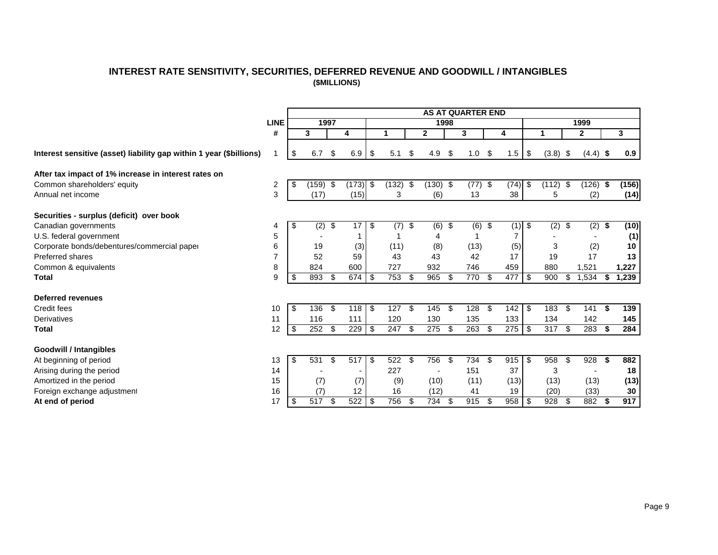# **INTEREST RATE SENSITIVITY, SECURITIES, DEFERRED REVENUE AND GOODWILL / INTANGIBLES (\$MILLIONS)**

<span id="page-10-0"></span>

|                                                                     |             |             |      |                 |     |          |     |                  |      | <b>AS AT QUARTER END</b> |            |     |                  |     |              |      |       |
|---------------------------------------------------------------------|-------------|-------------|------|-----------------|-----|----------|-----|------------------|------|--------------------------|------------|-----|------------------|-----|--------------|------|-------|
|                                                                     | <b>LINE</b> |             | 1997 |                 |     |          |     |                  | 1998 |                          |            |     |                  |     | 1999         |      |       |
|                                                                     | #           | 3           |      | 4               |     |          |     | $\mathbf{2}$     |      | 3                        | 4          |     | 1                |     | $\mathbf{2}$ |      | 3     |
| Interest sensitive (asset) liability gap within 1 year (\$billions) |             | \$<br>6.7   | \$   | 6.9             | \$  | 5.1      | \$  | 4.9              | \$   | 1.0                      | \$<br>1.5  | \$  | $(3.8)$ \$       |     | $(4.4)$ \$   |      | 0.9   |
| After tax impact of 1% increase in interest rates on                |             |             |      |                 |     |          |     |                  |      |                          |            |     |                  |     |              |      |       |
| Common shareholders' equity                                         | 2           | \$<br>(159) | \$   | (173)           | \$  | (132)    | -\$ | (130)            | -\$  | (77)                     | \$<br>(74) | \$  | (112)            | \$  | (126)        | -\$  | (156) |
| Annual net income                                                   | 3           | (17)        |      | (15)            |     | 3        |     | (6)              |      | 13                       | 38         |     | 5                |     | (2)          |      | (14)  |
| Securities - surplus (deficit) over book                            |             |             |      |                 |     |          |     |                  |      |                          |            |     |                  |     |              |      |       |
| Canadian governments                                                | 4           | \$<br>(2)   | \$   | 17 <sup>1</sup> | \$  | $(7)$ \$ |     | $\overline{(6)}$ | \$   | $\overline{(6)}$         | \$<br>(1)  | \$  | $\overline{(2)}$ | -\$ | $(2)$ \$     |      | (10)  |
| U.S. federal government                                             | 5           |             |      |                 |     |          |     | 4                |      |                          |            |     |                  |     |              |      | (1)   |
| Corporate bonds/debentures/commercial paper                         | 6           | 19          |      | (3)             |     | (11)     |     | (8)              |      | (13)                     | (5)        |     | 3                |     | (2)          |      | 10    |
| <b>Preferred shares</b>                                             |             | 52          |      | 59              |     | 43       |     | 43               |      | 42                       | 17         |     | 19               |     | 17           |      | 13    |
| Common & equivalents                                                | 8           | 824         |      | 600             |     | 727      |     | 932              |      | 746                      | 459        |     | 880              |     | 1,521        |      | 1,227 |
| <b>Total</b>                                                        | 9           | \$<br>893   | \$   | 674             | \$  | 753      | \$  | 965              | -\$  | 770                      | \$<br>477  | \$  | 900              | \$  | 1,534        | - \$ | 1,239 |
| Deferred revenues                                                   |             |             |      |                 |     |          |     |                  |      |                          |            |     |                  |     |              |      |       |
| <b>Credit fees</b>                                                  | 10          | \$<br>136   | \$   | 118             | \$  | 127      | -\$ | 145              | \$   | 128                      | \$<br>142  | \$  | 183              | \$  | 141          | -\$  | 139   |
| <b>Derivatives</b>                                                  | 11          | 116         |      | 111             |     | 120      |     | 130              |      | 135                      | 133        |     | 134              |     | 142          |      | 145   |
| Total                                                               | 12          | \$<br>252   | \$   | 229             | \$  | 247      | -\$ | $\overline{275}$ | \$   | $\overline{263}$         | \$<br>275  | \$  | 317              | -\$ | 283          | -\$  | 284   |
| <b>Goodwill / Intangibles</b>                                       |             |             |      |                 |     |          |     |                  |      |                          |            |     |                  |     |              |      |       |
| At beginning of period                                              | 13          | \$<br>531   | \$   | 517             | -\$ | 522S     |     | 756              | -\$  | 734                      | \$<br>915  | \$. | 958              | -\$ | 928          | -\$  | 882   |
| Arising during the period                                           | 14          |             |      |                 |     | 227      |     |                  |      | 151                      | 37         |     | 3                |     |              |      | 18    |
| Amortized in the period                                             | 15          | (7)         |      | (7)             |     | (9)      |     | (10)             |      | (11)                     | (13)       |     | (13)             |     | (13)         |      | (13)  |
| Foreign exchange adjustment                                         | 16          | (7)         |      | 12 <sup>2</sup> |     | 16       |     | (12)             |      | 41                       | 19         |     | (20)             |     | (33)         |      | 30    |
| At end of period                                                    | 17          | \$<br>517   | \$   | 522             | -\$ | 756      | \$  | 734              | \$   | 915                      | \$<br>958  | \$  | 928              | \$  | 882          | \$   | 917   |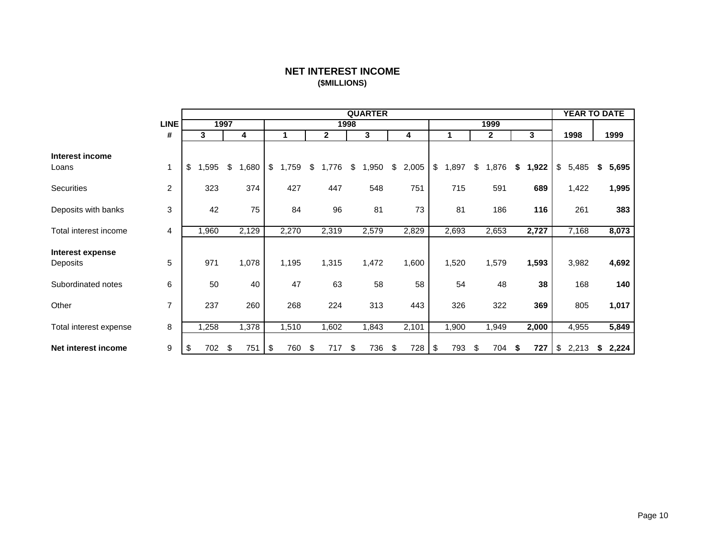# **NET INTEREST INCOME (\$MILLIONS)**

<span id="page-11-0"></span>

|                              |              |            |      |       |             |              |      | <b>QUARTER</b> |             |             |              |    |       | YEAR TO DATE |             |
|------------------------------|--------------|------------|------|-------|-------------|--------------|------|----------------|-------------|-------------|--------------|----|-------|--------------|-------------|
|                              | <b>LINE</b>  |            | 1997 |       |             |              | 1998 |                |             |             | 1999         |    |       |              |             |
|                              | #            | 3          |      | 4     | 1           | $\mathbf{2}$ |      | 3              | 4           | 1           | $\mathbf{2}$ |    | 3     | 1998         | 1999        |
| Interest income<br>Loans     | $\mathbf{1}$ | \$<br>,595 | \$   | 1,680 | \$<br>1,759 | \$<br>1,776  | \$   | 1,950          | \$<br>2,005 | \$<br>1,897 | \$<br>1,876  | \$ | 1,922 | \$<br>5,485  | \$<br>5,695 |
| <b>Securities</b>            | 2            | 323        |      | 374   | 427         | 447          |      | 548            | 751         | 715         | 591          |    | 689   | 1,422        | 1,995       |
| Deposits with banks          | 3            | 42         |      | 75    | 84          | 96           |      | 81             | 73          | 81          | 186          |    | 116   | 261          | 383         |
| Total interest income        | 4            | 1,960      |      | 2,129 | 2,270       | 2,319        |      | 2,579          | 2,829       | 2,693       | 2,653        |    | 2,727 | 7,168        | 8,073       |
| Interest expense<br>Deposits | 5            | 971        |      | 1,078 | 1,195       | 1,315        |      | 1,472          | 1,600       | 1,520       | 1,579        |    | 1,593 | 3,982        | 4,692       |
| Subordinated notes           | 6            | 50         |      | 40    | 47          | 63           |      | 58             | 58          | 54          | 48           |    | 38    | 168          | 140         |
| Other                        | 7            | 237        |      | 260   | 268         | 224          |      | 313            | 443         | 326         | 322          |    | 369   | 805          | 1,017       |
| Total interest expense       | 8            | 1,258      |      | 1,378 | 1,510       | 1,602        |      | 1,843          | 2,101       | 1,900       | 1,949        |    | 2,000 | 4,955        | 5,849       |
| Net interest income          | 9            | \$<br>702  | \$   | 751   | \$<br>760   | \$<br>717    | \$   | 736            | \$<br>728   | \$<br>793   | \$<br>704    | S. | 727   | \$<br>2,213  | \$<br>2,224 |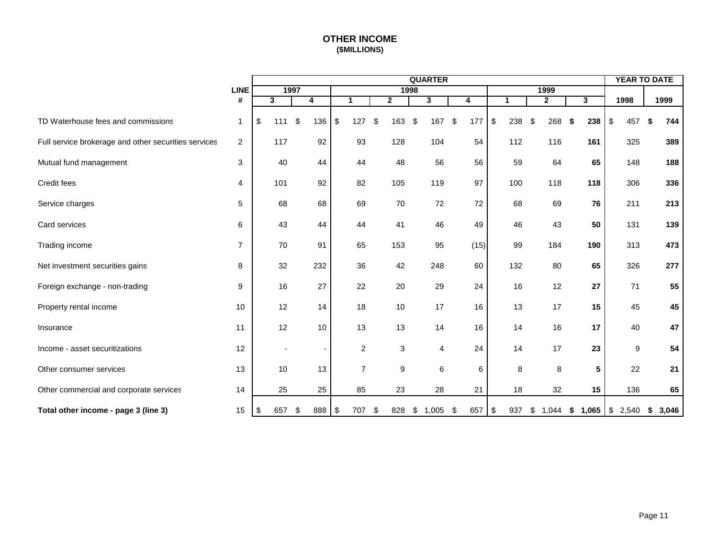# **OTHER INCOME (\$MILLIONS)**

<span id="page-12-0"></span>

|                                                      |                |     |              |      |                 |                      |                           |      | <b>QUARTER</b> |           |              |              |         |     | <b>YEAR TO DATE</b> |             |
|------------------------------------------------------|----------------|-----|--------------|------|-----------------|----------------------|---------------------------|------|----------------|-----------|--------------|--------------|---------|-----|---------------------|-------------|
|                                                      | <b>LINE</b>    |     |              | 1997 |                 |                      |                           | 1998 |                |           |              | 1999         |         |     |                     |             |
|                                                      | #              |     | $\mathbf{3}$ |      | 4               | $\blacktriangleleft$ | $\mathbf{2}$              |      | 3              | 4         | $\mathbf{1}$ | $\mathbf{2}$ |         | 3   | 1998                | 1999        |
| TD Waterhouse fees and commissions                   | $\overline{1}$ | \$  | 111          | \$   | 136             | \$<br>127            | \$<br>163                 | \$   | 167            | \$<br>177 | \$<br>238    | \$<br>268    | - \$    | 238 | \$<br>457           | \$<br>744   |
| Full service brokerage and other securities services | $\overline{c}$ |     | 117          |      | 92              | 93                   | 128                       |      | 104            | 54        | 112          | 116          |         | 161 | 325                 | 389         |
| Mutual fund management                               | 3              |     | 40           |      | 44              | 44                   | 48                        |      | 56             | 56        | 59           | 64           |         | 65  | 148                 | 188         |
| Credit fees                                          | 4              |     | 101          |      | 92              | 82                   | 105                       |      | 119            | 97        | 100          | 118          |         | 118 | 306                 | 336         |
| Service charges                                      | 5              |     | 68           |      | 68              | 69                   | 70                        |      | $\bf 72$       | 72        | 68           | 69           |         | 76  | 211                 | 213         |
| Card services                                        | 6              |     | 43           |      | 44              | 44                   | 41                        |      | 46             | 49        | 46           | 43           |         | 50  | 131                 | 139         |
| Trading income                                       | $\overline{7}$ |     | 70           |      | 91              | 65                   | 153                       |      | 95             | (15)      | 99           | 184          |         | 190 | 313                 | 473         |
| Net investment securities gains                      | 8              |     | 32           |      | 232             | 36                   | 42                        |      | 248            | 60        | 132          | 80           |         | 65  | 326                 | 277         |
| Foreign exchange - non-trading                       | 9              |     | 16           |      | 27              | 22                   | 20                        |      | 29             | 24        | 16           | 12           |         | 27  | 71                  | 55          |
| Property rental income                               | 10             |     | 12           |      | 14              | 18                   | 10                        |      | 17             | 16        | 13           | 17           |         | 15  | 45                  | 45          |
| Insurance                                            | 11             |     | 12           |      | 10 <sup>1</sup> | 13                   | 13                        |      | 14             | 16        | 14           | 16           |         | 17  | 40                  | 47          |
| Income - asset securitizations                       | 12             |     |              |      |                 | $\overline{2}$       | $\ensuremath{\mathsf{3}}$ |      | 4              | 24        | 14           | 17           |         | 23  | 9                   | 54          |
| Other consumer services                              | 13             |     | 10           |      | 13              | $\overline{7}$       | 9                         |      | 6              | 6         | 8            | 8            |         | 5   | 22                  | 21          |
| Other commercial and corporate services              | 14             |     | 25           |      | 25              | 85                   | 23                        |      | 28             | 21        | 18           | 32           |         | 15  | 136                 | 65          |
| Total other income - page 3 (line 3)                 | 15             | -\$ | 657          | \$   | 888             | \$<br>707            | \$<br>828                 | \$   | 1,005          | \$<br>657 | \$<br>937    | \$<br>1,044  | \$1,065 |     | \$2,540             | \$<br>3,046 |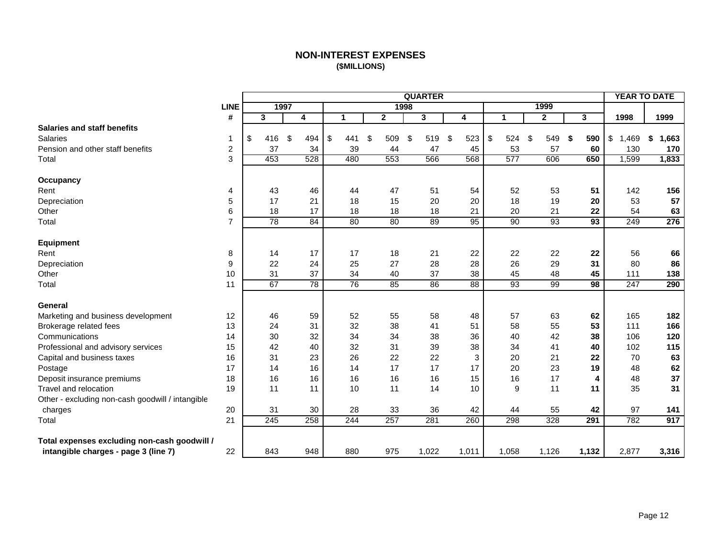# **NON-INTEREST EXPENSES (\$MILLIONS)**

<span id="page-13-0"></span>

|                                                  |                  |              |      |           |    |           |              |      | <b>QUARTER</b> |                            |                 |               |       |              |                 |                        | <b>YEAR TO DATE</b> |
|--------------------------------------------------|------------------|--------------|------|-----------|----|-----------|--------------|------|----------------|----------------------------|-----------------|---------------|-------|--------------|-----------------|------------------------|---------------------|
|                                                  | <b>LINE</b>      |              | 1997 |           |    |           |              | 1998 |                |                            |                 |               |       | 1999         |                 |                        |                     |
|                                                  | #                | $\mathbf{3}$ |      | 4         | 1  |           | $\mathbf{2}$ |      | 3              |                            | 4               |               | 1     | $\mathbf{2}$ | 3               | 1998                   | 1999                |
| <b>Salaries and staff benefits</b>               |                  |              |      |           |    |           |              |      |                |                            |                 |               |       |              |                 |                        |                     |
| <b>Salaries</b>                                  | 1                | \$<br>416    |      | \$<br>494 | \$ | \$<br>441 | 509          | \$   | 519            | $\boldsymbol{\mathsf{\$}}$ | 523             | $\sqrt[6]{3}$ | 524   | \$<br>549    | \$<br>590       | $\sqrt[6]{2}$<br>1,469 | 1,663<br>\$         |
| Pension and other staff benefits                 | $\boldsymbol{2}$ |              | 37   | 34        |    | 39        | 44           |      | 47             |                            | 45              |               | 53    | 57           | 60              | 130                    | 170                 |
| Total                                            | 3                | 453          |      | 528       |    | 480       | 553          |      | 566            |                            | 568             |               | 577   | 606          | 650             | 1,599                  | 1,833               |
| Occupancy                                        |                  |              |      |           |    |           |              |      |                |                            |                 |               |       |              |                 |                        |                     |
| Rent                                             | 4                |              | 43   | 46        |    | 44        | 47           |      | 51             |                            | 54              |               | 52    | 53           | 51              | 142                    | 156                 |
| Depreciation                                     | 5                |              | 17   | 21        |    | 18        | 15           |      | 20             |                            | 20              |               | 18    | 19           | 20              | 53                     | 57                  |
| Other                                            | 6                |              | 18   | 17        |    | 18        | 18           |      | 18             |                            | 21              |               | 20    | 21           | 22              | 54                     | 63                  |
| Total                                            | $\overline{7}$   |              | 78   | 84        |    | 80        | 80           |      | 89             |                            | 95              |               | 90    | 93           | $\overline{93}$ | 249                    | 276                 |
| Equipment                                        |                  |              |      |           |    |           |              |      |                |                            |                 |               |       |              |                 |                        |                     |
| Rent                                             | 8                |              | 14   | 17        |    | 17        | 18           |      | 21             |                            | 22              |               | 22    | 22           | 22              | 56                     | 66                  |
| Depreciation                                     | 9                |              | 22   | 24        |    | 25        | 27           |      | 28             |                            | 28              |               | 26    | 29           | 31              | 80                     | 86                  |
| Other                                            | 10               |              | 31   | 37        |    | 34        | 40           |      | 37             |                            | 38              |               | 45    | 48           | 45              | 111                    | 138                 |
| Total                                            | 11               |              | 67   | 78        |    | 76        | 85           |      | 86             |                            | $\overline{88}$ |               | 93    | 99           | $\overline{98}$ | 247                    | 290                 |
| General                                          |                  |              |      |           |    |           |              |      |                |                            |                 |               |       |              |                 |                        |                     |
| Marketing and business development               | 12               |              | 46   | 59        |    | 52        | 55           |      | 58             |                            | 48              |               | 57    | 63           | 62              | 165                    | 182                 |
| Brokerage related fees                           | 13               |              | 24   | 31        |    | 32        | 38           |      | 41             |                            | 51              |               | 58    | 55           | 53              | 111                    | 166                 |
| Communications                                   | 14               |              | 30   | 32        |    | 34        | 34           |      | 38             |                            | 36              |               | 40    | 42           | 38              | 106                    | 120                 |
| Professional and advisory services               | 15               |              | 42   | 40        |    | 32        | 31           |      | 39             |                            | 38              |               | 34    | 41           | 40              | 102                    | 115                 |
| Capital and business taxes                       | 16               |              | 31   | 23        |    | 26        | 22           |      | 22             |                            | 3               |               | 20    | 21           | 22              | 70                     | 63                  |
| Postage                                          | 17               |              | 14   | 16        |    | 14        | 17           |      | 17             |                            | 17              |               | 20    | 23           | 19              | 48                     | 62                  |
| Deposit insurance premiums                       | 18               |              | 16   | 16        |    | 16        | 16           |      | 16             |                            | 15              |               | 16    | 17           | 4               | 48                     | 37                  |
| Travel and relocation                            | 19               |              | 11   | 11        |    | 10        | 11           |      | 14             |                            | 10              |               | 9     | 11           | 11              | 35                     | 31                  |
| Other - excluding non-cash goodwill / intangible |                  |              |      |           |    |           |              |      |                |                            |                 |               |       |              |                 |                        |                     |
| charges                                          | 20               |              | 31   | 30        |    | 28        | 33           |      | 36             |                            | 42              |               | 44    | 55           | 42              | 97                     | 141                 |
| Total                                            | 21               | 245          |      | 258       |    | 244       | 257          |      | 281            |                            | 260             |               | 298   | 328          | 291             | 782                    | 917                 |
| Total expenses excluding non-cash goodwill /     |                  |              |      |           |    |           |              |      |                |                            |                 |               |       |              |                 |                        |                     |
| intangible charges - page 3 (line 7)             | 22               | 843          |      | 948       |    | 880       | 975          |      | 1,022          |                            | 1,011           |               | 1,058 | 1,126        | 1,132           | 2,877                  | 3,316               |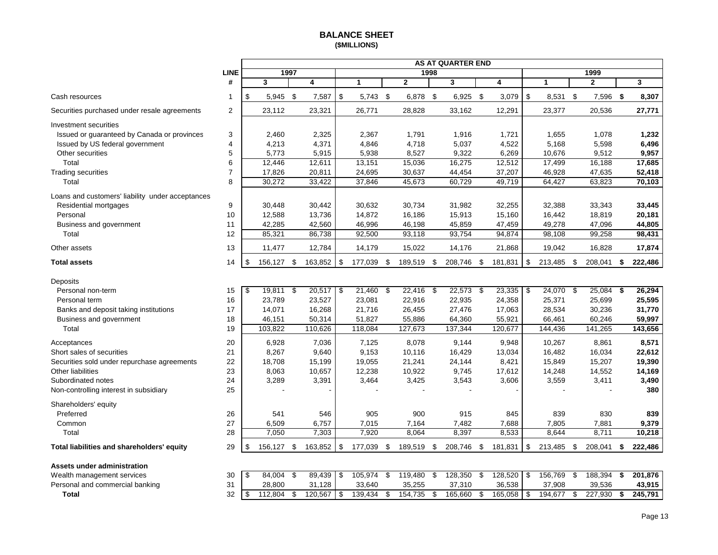#### **BALANCE SHEET (\$MILLIONS)**

<span id="page-14-0"></span>

|                                                  |                | <b>AS AT QUARTER END</b> |      |                   |    |                   |      |                   |      |                   |      |                  |    |                   |     |                   |     |                   |
|--------------------------------------------------|----------------|--------------------------|------|-------------------|----|-------------------|------|-------------------|------|-------------------|------|------------------|----|-------------------|-----|-------------------|-----|-------------------|
|                                                  | <b>LINE</b>    |                          | 1997 |                   |    |                   |      |                   | 1998 |                   |      |                  |    |                   |     | 1999              |     |                   |
|                                                  | #              | 3                        |      | 4                 |    | $\mathbf{1}$      |      | $\overline{2}$    |      | 3                 |      | 4                |    | $\mathbf{1}$      |     | $\mathbf{2}$      |     | 3                 |
| Cash resources                                   | -1             | 5,945 \$<br>\$           |      | 7,587             | \$ | $5,743$ \$        |      | 6,878 \$          |      | $6,925$ \$        |      | 3,079            | \$ | 8,531 \$          |     | 7,596 \$          |     | 8,307             |
| Securities purchased under resale agreements     | 2              | 23,112                   |      | 23,321            |    | 26,771            |      | 28,828            |      | 33,162            |      | 12,291           |    | 23,377            |     | 20,536            |     | 27,771            |
| Investment securities                            |                |                          |      |                   |    |                   |      |                   |      |                   |      |                  |    |                   |     |                   |     |                   |
| Issued or guaranteed by Canada or provinces      | 3              | 2,460                    |      | 2,325             |    | 2,367             |      | 1,791             |      | 1,916             |      | 1,721            |    | 1,655             |     | 1,078             |     | 1,232             |
| Issued by US federal government                  | 4              | 4,213                    |      | 4,371             |    | 4,846             |      | 4,718             |      | 5,037             |      | 4,522            |    | 5,168             |     | 5,598             |     | 6,496             |
| Other securities                                 | 5              | 5,773                    |      | 5,915             |    | 5,938             |      | 8,527             |      | 9,322             |      | 6,269            |    | 10,676            |     | 9,512             |     | 9,957             |
| Total                                            | 6              | 12,446                   |      | 12,611            |    | 13,151            |      | 15,036            |      | 16,275            |      | 12,512           |    | 17,499            |     | 16,188            |     | 17,685            |
| <b>Trading securities</b>                        | $\overline{7}$ | 17,826                   |      | 20,811            |    | 24,695            |      | 30,637            |      | 44,454            |      | 37,207           |    | 46,928            |     | 47,635            |     | 52,418            |
| Total                                            | 8              | 30,272                   |      | 33,422            |    | 37,846            |      | 45,673            |      | 60,729            |      | 49,719           |    | 64,427            |     | 63,823            |     | 70,103            |
| Loans and customers' liability under acceptances |                |                          |      |                   |    |                   |      |                   |      |                   |      |                  |    |                   |     |                   |     |                   |
| Residential mortgages                            | 9              | 30,448                   |      | 30,442            |    | 30,632            |      | 30,734            |      | 31,982            |      | 32,255           |    | 32,388            |     | 33,343            |     | 33,445            |
| Personal                                         | 10             | 12,588                   |      | 13,736            |    | 14,872            |      | 16,186            |      | 15,913            |      | 15,160           |    | 16,442            |     | 18,819            |     | 20,181            |
| Business and government                          | 11             | 42,285                   |      | 42,560            |    | 46,996            |      | 46,198            |      | 45,859            |      | 47,459           |    | 49,278            |     | 47,096            |     | 44,805            |
| Total                                            | 12             | 85,321                   |      | 86,738            |    | 92,500            |      | 93,118            |      | 93,754            |      | 94,874           |    | 98,108            |     | 99,258            |     | 98,431            |
| Other assets                                     | 13             | 11,477                   |      | 12,784            |    | 14,179            |      | 15,022            |      | 14,176            |      | 21,868           |    | 19,042            |     | 16,828            |     | 17,874            |
| <b>Total assets</b>                              | 14             | \$<br>156,127 \$         |      | 163,852           | \$ | 177,039           | \$   | 189,519           | \$   | 208,746 \$        |      | 181,831          | \$ | 213,485           | -\$ | 208,041           | \$  | 222,486           |
|                                                  |                |                          |      |                   |    |                   |      |                   |      |                   |      |                  |    |                   |     |                   |     |                   |
| Deposits                                         |                |                          |      |                   |    |                   |      |                   |      |                   |      |                  |    |                   |     |                   |     |                   |
| Personal non-term                                | 15             | 19,811<br>\$             | - \$ | 20,517            | \$ | 21,460            | \$   | 22,416            | \$   | 22,573            | -\$  | 23,335           | \$ | 24,070            | \$  | 25,084            | \$  | 26,294            |
| Personal term                                    | 16<br>17       | 23,789<br>14,071         |      | 23,527<br>16,268  |    | 23,081<br>21,716  |      | 22,916<br>26,455  |      | 22,935<br>27,476  |      | 24,358<br>17,063 |    | 25,371<br>28,534  |     | 25,699<br>30,236  |     | 25,595<br>31,770  |
| Banks and deposit taking institutions            |                |                          |      |                   |    |                   |      |                   |      |                   |      | 55,921           |    |                   |     |                   |     |                   |
| Business and government<br>Total                 | 18<br>19       | 46,151<br>103,822        |      | 50,314<br>110,626 |    | 51,827<br>118,084 |      | 55,886<br>127,673 |      | 64,360<br>137,344 |      | 120,677          |    | 66,461<br>144,436 |     | 60,246<br>141,265 |     | 59,997<br>143,656 |
|                                                  |                |                          |      |                   |    |                   |      |                   |      |                   |      |                  |    |                   |     |                   |     |                   |
| Acceptances                                      | 20             | 6,928                    |      | 7,036             |    | 7,125             |      | 8,078             |      | 9,144             |      | 9,948            |    | 10,267            |     | 8,861             |     | 8,571             |
| Short sales of securities                        | 21             | 8,267                    |      | 9,640             |    | 9,153             |      | 10,116            |      | 16,429            |      | 13,034           |    | 16,482            |     | 16,034            |     | 22,612            |
| Securities sold under repurchase agreements      | 22             | 18,708                   |      | 15,199            |    | 19,055            |      | 21,241            |      | 24,144            |      | 8,421            |    | 15,849            |     | 15,207            |     | 19,390            |
| <b>Other liabilities</b>                         | 23             | 8,063                    |      | 10,657            |    | 12,238            |      | 10,922            |      | 9,745             |      | 17,612           |    | 14,248            |     | 14,552            |     | 14,169            |
| Subordinated notes                               | 24             | 3,289                    |      | 3,391             |    | 3,464             |      | 3,425             |      | 3,543             |      | 3,606            |    | 3,559             |     | 3,411             |     | 3,490             |
| Non-controlling interest in subsidiary           | 25             |                          |      |                   |    |                   |      |                   |      |                   |      |                  |    |                   |     |                   |     | 380               |
| Shareholders' equity                             |                |                          |      |                   |    |                   |      |                   |      |                   |      |                  |    |                   |     |                   |     |                   |
| Preferred                                        | 26             | 541                      |      | 546               |    | 905               |      | 900               |      | 915               |      | 845              |    | 839               |     | 830               |     | 839               |
| Common                                           | 27             | 6,509                    |      | 6,757             |    | 7,015             |      | 7,164             |      | 7,482             |      | 7,688            |    | 7,805             |     | 7,881             |     | 9,379             |
| Total                                            | 28             | 7,050                    |      | 7,303             |    | 7,920             |      | 8,064             |      | 8,397             |      | 8,533            |    | 8,644             |     | 8,711             |     | 10,218            |
| Total liabilities and shareholders' equity       | 29             | \$<br>156,127 \$         |      | 163,852           | \$ | 177,039           | \$   | 189,519 \$        |      | 208,746 \$        |      | 181,831          | \$ | 213,485           | \$  | 208,041           | \$  | 222,486           |
| <b>Assets under administration</b>               |                |                          |      |                   |    |                   |      |                   |      |                   |      |                  |    |                   |     |                   |     |                   |
| Wealth management services                       | 30             | 84,004 \$<br>\$          |      | 89,439            | \$ | 105,974           | - \$ | 119,480           | -\$  | 128,350           | - \$ | 128,520          | \$ | 156,769           | -\$ | 188,394           | -\$ | 201,876           |
| Personal and commercial banking                  | 31             | 28.800                   |      | 31,128            |    | 33,640            |      | 35,255            |      | 37,310            |      | 36,538           |    | 37,908            |     | 39,536            |     | 43,915            |
| Total                                            | 32             | \$<br>112,804 \$         |      | $120,567$ \$      |    | 139,434 \$        |      | 154,735 \$        |      | 165,660           | \$   | 165,058 \$       |    | 194,677 \$        |     | 227,930 \$        |     | 245,791           |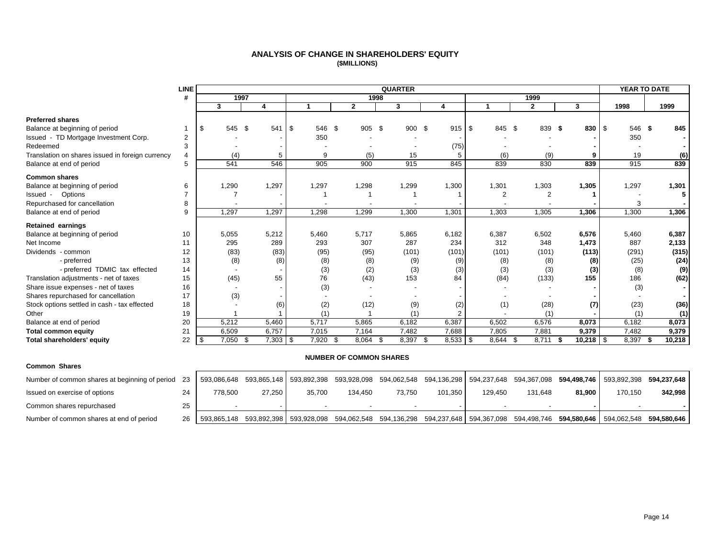#### **ANALYSIS OF CHANGE IN SHAREHOLDERS' EQUITY (\$MILLIONS)**

<span id="page-15-0"></span>

|                                                  | <b>LINE</b>    |      |        |                    |             |        |                                | <b>QUARTER</b>   |                |                   |              |                          | <b>YEAR TO DATE</b> |                |
|--------------------------------------------------|----------------|------|--------|--------------------|-------------|--------|--------------------------------|------------------|----------------|-------------------|--------------|--------------------------|---------------------|----------------|
|                                                  | #              |      | 1997   |                    |             |        | 1998                           |                  |                |                   | 1999         |                          |                     |                |
|                                                  |                |      | 3      | 4                  |             |        | $\mathbf{2}$                   | 3                | 4              |                   | $\mathbf{2}$ | 3                        | 1998                | 1999           |
| <b>Preferred shares</b>                          |                |      |        |                    |             |        |                                |                  |                |                   |              |                          |                     |                |
| Balance at beginning of period                   |                | \$   | 545 \$ | 541                | <b>1 \$</b> | 546 \$ | 905 \$                         | $900 \text{ } $$ | $915$ \$       | 845 \$            | 839 \$       | $830$ \ \$               | 546 \$              | 845            |
| Issued - TD Mortgage Investment Corp.            | $\overline{2}$ |      |        |                    |             | 350    |                                |                  |                |                   |              |                          | 350                 |                |
| Redeemed                                         | 3              |      |        |                    |             |        |                                |                  | (75)           |                   |              |                          |                     |                |
| Translation on shares issued in foreign currency | 4              |      | (4)    | 5                  |             | 9      | (5)                            | 15               | 5              | (6)               | (9)          | 9                        | 19                  | (6)            |
| Balance at end of period                         | 5              |      | 541    | 546                |             | 905    | 900                            | 915              | 845            | 839               | 830          | 839                      | 915                 | 839            |
| <b>Common shares</b>                             |                |      |        |                    |             |        |                                |                  |                |                   |              |                          |                     |                |
| Balance at beginning of period                   | 6              |      | 1,290  | 1,297              |             | 1,297  | 1,298                          | 1,299            | 1,300          | 1,301             | 1,303        | 1,305                    | 1,297               | 1,301          |
| Issued -<br>Options                              | $\overline{7}$ |      |        |                    |             |        |                                |                  |                | 2                 | 2            |                          |                     | 5              |
| Repurchased for cancellation                     | 8              |      |        |                    |             |        |                                |                  |                |                   |              |                          | 3                   |                |
| Balance at end of period                         | 9              |      | 1,297  | 1,297              |             | 1,298  | 1.299                          | 1,300            | 1,301          | 1,303             | 1,305        | 1,306                    | 1,300               | 1,306          |
| <b>Retained earnings</b>                         |                |      |        |                    |             |        |                                |                  |                |                   |              |                          |                     |                |
| Balance at beginning of period                   | 10             |      | 5,055  | 5,212              |             | 5,460  | 5,717                          | 5,865            | 6,182          | 6,387             | 6,502        | 6,576                    | 5,460               | 6,387          |
| Net Income                                       | 11             |      | 295    | 289                |             | 293    | 307                            | 287              | 234            | 312               | 348          | 1,473                    | 887                 | 2,133          |
| Dividends - common                               | 12             |      | (83)   | (83)               |             | (95)   | (95)                           | (101)            | (101)          | (101)             | (101)        | (113)                    | (291)               | (315)          |
| - preferred                                      | 13             |      | (8)    | (8)                |             | (8)    | (8)                            | (9)              | (9)            | (8)               | (8)          | (8)                      | (25)                | (24)           |
| - preferred TDMIC tax effected                   | 14             |      |        |                    |             | (3)    | (2)                            | (3)              | (3)            | (3)               | (3)          | (3)                      | (8)                 | (9)            |
| Translation adjustments - net of taxes           | 15             |      | (45)   | 55                 |             | 76     | (43)                           | 153              | 84             | (84)              | (133)        | 155                      | 186                 | (62)           |
| Share issue expenses - net of taxes              | 16             |      |        |                    |             | (3)    |                                |                  |                |                   |              |                          | (3)                 |                |
| Shares repurchased for cancellation              | 17             |      | (3)    |                    |             |        |                                |                  |                |                   |              |                          |                     |                |
| Stock options settled in cash - tax effected     | 18             |      |        | (6)                |             | (2)    | (12)                           | (9)              | (2)            | (1)               | (28)         | (7)                      | (23)                | (36)           |
| Other                                            | 19             |      |        |                    |             | (1)    |                                | (1)              | $\overline{2}$ |                   | (1)          |                          | (1)                 | (1)            |
| Balance at end of period                         | 20             |      | 5,212  | 5,460              |             | 5,717  | 5,865                          | 6,182            | 6,387          | 6,502             | 6,576        | 8,073                    | 6,182               | 8,073          |
| <b>Total common equity</b>                       | 21             |      | 6,509  | 6,757              |             | 7,015  | 7,164                          | 7,482            | 7,688          | 7,805             | 7,881        | 9,379                    | 7,482               | 9,379          |
| <b>Total shareholders' equity</b>                | 22             | - \$ | 7,050  | $7,303$ \$<br>- \$ |             | 7,920  | 8.064<br>-\$                   | 8,397 \$<br>-\$  | 8,533          | 8,644<br><b>S</b> | 8.711<br>-\$ | 10,218 $\sqrt{3}$<br>- 5 | 8,397               | 10,218<br>- \$ |
| <b>Common Shares</b>                             |                |      |        |                    |             |        | <b>NUMBER OF COMMON SHARES</b> |                  |                |                   |              |                          |                     |                |

| <b>UUIIIIUII UIIIIUU</b>                          |    |         |        |        |         |        |         |         |         |        |                                                                                                                                                         |         |
|---------------------------------------------------|----|---------|--------|--------|---------|--------|---------|---------|---------|--------|---------------------------------------------------------------------------------------------------------------------------------------------------------|---------|
| Number of common shares at beginning of period 23 |    |         |        |        |         |        |         |         |         |        | 593,086,648 593,865,148   593,892,398 593,928,098 594,062,548 594,136,298   594,237,648 594,367,098 <b>594,498,746</b>   593,892,398 <b>594,237,648</b> |         |
| Issued on exercise of options                     |    | 778.500 | 27.250 | 35.700 | 134.450 | 73.750 | 101.350 | 129.450 | 131.648 | 81.900 | 170.150                                                                                                                                                 | 342,998 |
| Common shares repurchased                         | 25 |         |        |        |         |        |         |         |         |        |                                                                                                                                                         |         |
| Number of common shares at end of period          | 26 |         |        |        |         |        |         |         |         |        | 594,865,148 593,892,398 593,928,098 594,062,548 594,136,298 594,237,648 594,367,098 594,498,746 <b>594,580,646</b> 594,062,548 594, <b>580,646</b>      |         |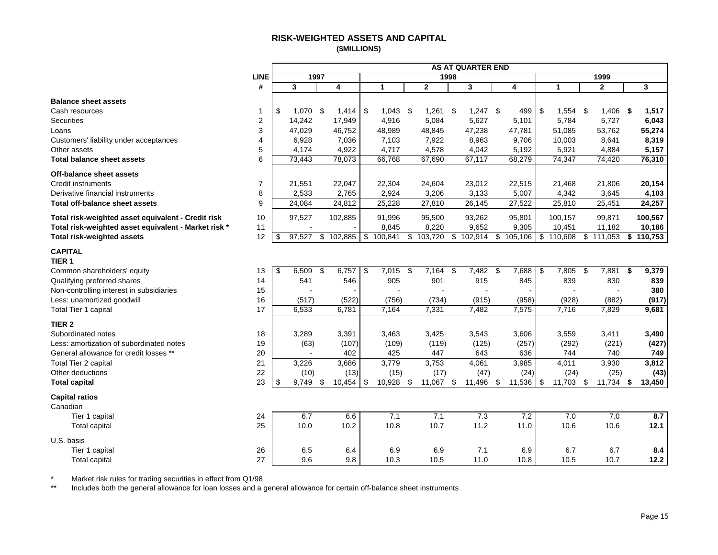#### **RISK-WEIGHTED ASSETS AND CAPITAL (\$MILLIONS)**

<span id="page-16-0"></span>

|                                                      |                |              |      |           |                 |     |              |      | <b>AS AT QUARTER END</b> |     |                |     |             |               |     |           |
|------------------------------------------------------|----------------|--------------|------|-----------|-----------------|-----|--------------|------|--------------------------|-----|----------------|-----|-------------|---------------|-----|-----------|
|                                                      | <b>LINE</b>    |              | 1997 |           |                 |     |              | 1998 |                          |     |                |     |             | 1999          |     |           |
|                                                      | #              | 3            |      | 4         | 1               |     | $\mathbf{2}$ |      | 3                        |     | 4              |     | $\mathbf 1$ | $\mathbf{2}$  |     | 3         |
| <b>Balance sheet assets</b>                          |                |              |      |           |                 |     |              |      |                          |     |                |     |             |               |     |           |
| Cash resources                                       | 1              | \$<br>1.070  | \$   | 1,414     | \$<br>1,043     | -\$ | 1,261        | \$   | 1,247                    | -\$ | 499            | \$  | $1,554$ \$  | 1,406         | -\$ | 1,517     |
| <b>Securities</b>                                    | 2              | 14,242       |      | 17,949    | 4,916           |     | 5,084        |      | 5,627                    |     | 5,101          |     | 5,784       | 5,727         |     | 6,043     |
| Loans                                                | 3              | 47,029       |      | 46,752    | 48,989          |     | 48,845       |      | 47,238                   |     | 47,781         |     | 51,085      | 53,762        |     | 55,274    |
| Customers' liability under acceptances               | 4              | 6,928        |      | 7,036     | 7,103           |     | 7,922        |      | 8,963                    |     | 9,706          |     | 10,003      | 8,641         |     | 8,319     |
| Other assets                                         | 5              | 4,174        |      | 4,922     | 4,717           |     | 4,578        |      | 4,042                    |     | 5,192          |     | 5,921       | 4,884         |     | 5,157     |
| <b>Total balance sheet assets</b>                    | 6              | 73,443       |      | 78,073    | 66,768          |     | 67,690       |      | 67,117                   |     | 68,279         |     | 74,347      | 74,420        |     | 76,310    |
| Off-balance sheet assets                             |                |              |      |           |                 |     |              |      |                          |     |                |     |             |               |     |           |
| <b>Credit instruments</b>                            | $\overline{7}$ | 21,551       |      | 22,047    | 22,304          |     | 24,604       |      | 23,012                   |     | 22,515         |     | 21,468      | 21,806        |     | 20,154    |
| Derivative financial instruments                     | 8              | 2,533        |      | 2,765     | 2,924           |     | 3,206        |      | 3,133                    |     | 5,007          |     | 4,342       | 3,645         |     | 4,103     |
| <b>Total off-balance sheet assets</b>                | 9              | 24,084       |      | 24,812    | 25,228          |     | 27,810       |      | 26,145                   |     | 27,522         |     | 25,810      | 25,451        |     | 24,257    |
| Total risk-weighted asset equivalent - Credit risk   | 10             | 97,527       |      | 102,885   | 91,996          |     | 95,500       |      | 93,262                   |     | 95,801         |     | 100,157     | 99,871        |     | 100,567   |
| Total risk-weighted asset equivalent - Market risk * | 11             |              |      |           | 8,845           |     | 8,220        |      | 9,652                    |     | 9,305          |     | 10,451      | 11,182        |     | 10,186    |
| <b>Total risk-weighted assets</b>                    | 12             | \$<br>97,527 |      | \$102,885 | \$<br>100,841   | \$  | 103,720      | \$   | 102,914                  |     | $$105,106$ \\$ |     | 110,608     | \$<br>111,053 |     | \$110,753 |
| <b>CAPITAL</b><br>TIER <sub>1</sub>                  |                |              |      |           |                 |     |              |      |                          |     |                |     |             |               |     |           |
| Common shareholders' equity                          | 13             | \$<br>6,509  | \$   | 6,757     | \$<br>7,015     | -\$ | 7,164        | \$   | 7,482                    | \$  | 7,688          | -\$ | 7,805       | \$<br>7,881   | \$  | 9,379     |
| Qualifying preferred shares                          | 14             | 541          |      | 546       | 905             |     | 901          |      | 915                      |     | 845            |     | 839         | 830           |     | 839       |
| Non-controlling interest in subsidiaries             | 15             | $\sim$       |      |           |                 |     |              |      |                          |     |                |     |             |               |     | 380       |
| Less: unamortized goodwill                           | 16             | (517)        |      | (522)     | (756)           |     | (734)        |      | (915)                    |     | (958)          |     | (928)       | (882)         |     | (917)     |
| Total Tier 1 capital                                 | 17             | 6,533        |      | 6,781     | 7,164           |     | 7,331        |      | 7,482                    |     | 7,575          |     | 7,716       | 7,829         |     | 9,681     |
| TIER <sub>2</sub>                                    |                |              |      |           |                 |     |              |      |                          |     |                |     |             |               |     |           |
| Subordinated notes                                   | 18             | 3,289        |      | 3,391     | 3,463           |     | 3,425        |      | 3,543                    |     | 3,606          |     | 3,559       | 3,411         |     | 3,490     |
| Less: amortization of subordinated notes             | 19             | (63)         |      | (107)     | (109)           |     | (119)        |      | (125)                    |     | (257)          |     | (292)       | (221)         |     | (427)     |
| General allowance for credit losses **               | 20             |              |      | 402       | 425             |     | 447          |      | 643                      |     | 636            |     | 744         | 740           |     | 749       |
| Total Tier 2 capital                                 | 21             | 3,226        |      | 3,686     | 3,779           |     | 3,753        |      | 4,061                    |     | 3,985          |     | 4,011       | 3,930         |     | 3,812     |
| Other deductions                                     | 22             | (10)         |      | (13)      | (15)            |     | (17)         |      | (47)                     |     | (24)           |     | (24)        | (25)          |     | (43)      |
| <b>Total capital</b>                                 | 23             | \$<br>9,749  | \$   | 10,454    | \$<br>10,928 \$ |     | 11,067       | \$   | 11,496                   | \$  | $11,536$ \$    |     | 11,703      | \$<br>11,734  | \$  | 13,450    |
| <b>Capital ratios</b>                                |                |              |      |           |                 |     |              |      |                          |     |                |     |             |               |     |           |
| Canadian                                             |                |              |      |           |                 |     |              |      |                          |     |                |     |             |               |     |           |
| Tier 1 capital                                       | 24             | 6.7          |      | 6.6       | 7.1             |     | 7.1          |      | 7.3                      |     | 7.2            |     | 7.0         | 7.0           |     | 8.7       |
| Total capital                                        | 25             | 10.0         |      | 10.2      | 10.8            |     | 10.7         |      | 11.2                     |     | 11.0           |     | 10.6        | 10.6          |     | 12.1      |
| U.S. basis                                           |                |              |      |           |                 |     |              |      |                          |     |                |     |             |               |     |           |
| Tier 1 capital                                       | 26             | 6.5          |      | 6.4       | 6.9             |     | 6.9          |      | 7.1                      |     | 6.9            |     | 6.7         | 6.7           |     | 8.4       |
| Total capital                                        | 27             | 9.6          |      | 9.8       | 10.3            |     | 10.5         |      | 11.0                     |     | 10.8           |     | 10.5        | 10.7          |     | 12.2      |

\* Market risk rules for trading securities in effect from Q1/98

Includes both the general allowance for loan losses and a general allowance for certain off-balance sheet instruments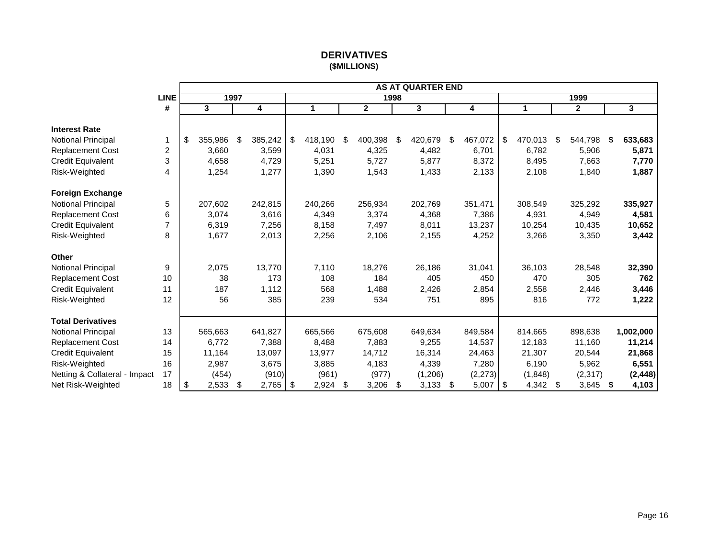# **DERIVATIVES (\$MILLIONS)**

<span id="page-17-0"></span>

|                               |                |    |         |      |         |     |              |                |      | <b>AS AT QUARTER END</b> |               |      |         |      |                |               |
|-------------------------------|----------------|----|---------|------|---------|-----|--------------|----------------|------|--------------------------|---------------|------|---------|------|----------------|---------------|
|                               | <b>LINE</b>    |    |         | 1997 |         |     |              |                | 1998 |                          |               |      |         |      | 1999           |               |
|                               | #              | 3  |         |      | 4       |     | $\mathbf{1}$ | $\overline{2}$ |      | $\overline{3}$           | 4             |      | 1       |      | $\overline{2}$ | 3             |
| <b>Interest Rate</b>          |                |    |         |      |         |     |              |                |      |                          |               |      |         |      |                |               |
| Notional Principal            | 1              | \$ | 355,986 | \$   | 385,242 | \$  | 418,190      | \$<br>400,398  | \$   | 420,679                  | \$<br>467,072 | \$   | 470,013 | \$   | 544,798        | \$<br>633,683 |
| <b>Replacement Cost</b>       | $\overline{2}$ |    | 3,660   |      | 3,599   |     | 4,031        | 4,325          |      | 4,482                    | 6,701         |      | 6,782   |      | 5,906          | 5,871         |
| <b>Credit Equivalent</b>      | 3              |    | 4,658   |      | 4,729   |     | 5,251        | 5,727          |      | 5,877                    | 8,372         |      | 8,495   |      | 7,663          | 7,770         |
| Risk-Weighted                 | 4              |    | 1,254   |      | 1,277   |     | 1,390        | 1,543          |      | 1,433                    | 2,133         |      | 2,108   |      | 1,840          | 1,887         |
|                               |                |    |         |      |         |     |              |                |      |                          |               |      |         |      |                |               |
| <b>Foreign Exchange</b>       |                |    |         |      |         |     |              |                |      |                          |               |      |         |      |                |               |
| Notional Principal            | 5              |    | 207,602 |      | 242,815 |     | 240,266      | 256,934        |      | 202,769                  | 351,471       |      | 308,549 |      | 325,292        | 335,927       |
| Replacement Cost              | 6              |    | 3,074   |      | 3,616   |     | 4,349        | 3,374          |      | 4,368                    | 7,386         |      | 4,931   |      | 4,949          | 4,581         |
| <b>Credit Equivalent</b>      | 7              |    | 6,319   |      | 7,256   |     | 8,158        | 7,497          |      | 8,011                    | 13,237        |      | 10,254  |      | 10,435         | 10,652        |
| Risk-Weighted                 | 8              |    | 1,677   |      | 2,013   |     | 2,256        | 2,106          |      | 2,155                    | 4,252         |      | 3,266   |      | 3,350          | 3,442         |
|                               |                |    |         |      |         |     |              |                |      |                          |               |      |         |      |                |               |
| <b>Other</b>                  |                |    |         |      |         |     |              |                |      |                          |               |      |         |      |                |               |
| Notional Principal            | 9              |    | 2,075   |      | 13,770  |     | 7,110        | 18,276         |      | 26,186                   | 31,041        |      | 36,103  |      | 28,548         | 32,390        |
| Replacement Cost              | 10             |    | 38      |      | 173     |     | 108          | 184            |      | 405                      | 450           |      | 470     |      | 305            | 762           |
| <b>Credit Equivalent</b>      | 11             |    | 187     |      | 1,112   |     | 568          | 1,488          |      | 2,426                    | 2,854         |      | 2,558   |      | 2,446          | 3,446         |
| Risk-Weighted                 | 12             |    | 56      |      | 385     |     | 239          | 534            |      | 751                      | 895           |      | 816     |      | 772            | 1,222         |
|                               |                |    |         |      |         |     |              |                |      |                          |               |      |         |      |                |               |
| <b>Total Derivatives</b>      |                |    |         |      |         |     |              |                |      |                          |               |      |         |      |                |               |
| Notional Principal            | 13             |    | 565,663 |      | 641,827 |     | 665,566      | 675,608        |      | 649,634                  | 849,584       |      | 814,665 |      | 898,638        | 1,002,000     |
| Replacement Cost              | 14             |    | 6,772   |      | 7,388   |     | 8,488        | 7,883          |      | 9,255                    | 14,537        |      | 12,183  |      | 11,160         | 11,214        |
| Credit Equivalent             | 15             |    | 11,164  |      | 13,097  |     | 13,977       | 14,712         |      | 16,314                   | 24,463        |      | 21,307  |      | 20,544         | 21,868        |
| Risk-Weighted                 | 16             |    | 2,987   |      | 3,675   |     | 3,885        | 4,183          |      | 4,339                    | 7,280         |      | 6,190   |      | 5,962          | 6,551         |
| Netting & Collateral - Impact | 17             |    | (454)   |      | (910)   |     | (961)        | (977)          |      | (1,206)                  | (2, 273)      |      | (1,848) |      | (2,317)        | (2, 448)      |
| Net Risk-Weighted             | 18             | \$ | 2,533   | \$   | 2,765   | -\$ | 2,924        | \$<br>3,206    | \$   | $3,133$ \$               | 5,007         | - \$ | 4,342   | - \$ | 3,645          | \$<br>4,103   |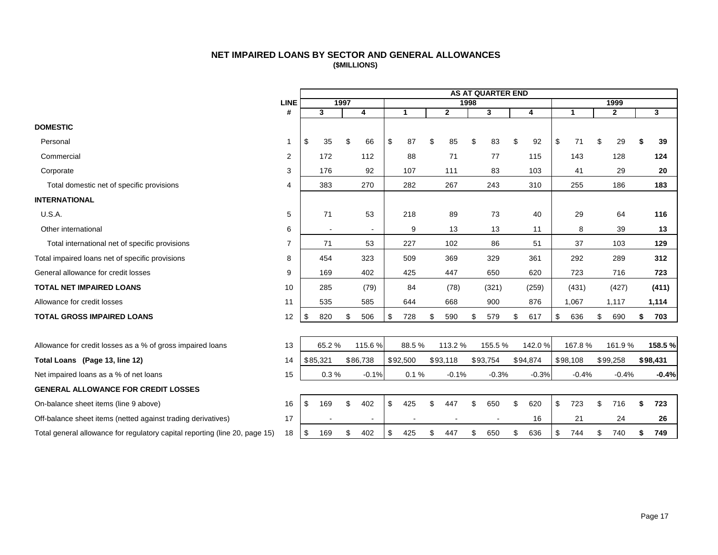# **NET IMPAIRED LOANS BY SECTOR AND GENERAL ALLOWANCES (\$MILLIONS)**

<span id="page-18-0"></span>

|                                                                             | <b>AS AT QUARTER END</b><br>1998 |           |                |                |    |          |    |              |     |          |    |          |    |             |                |              |    |              |
|-----------------------------------------------------------------------------|----------------------------------|-----------|----------------|----------------|----|----------|----|--------------|-----|----------|----|----------|----|-------------|----------------|--------------|----|--------------|
|                                                                             | <b>LINE</b>                      |           | 1997           |                |    |          |    |              |     |          |    |          |    |             |                | 1999         |    |              |
|                                                                             | #                                | 3         |                | 4              |    | 1        |    | $\mathbf{2}$ |     | 3        |    | 4        |    | $\mathbf 1$ |                | $\mathbf{2}$ |    | $\mathbf{3}$ |
| <b>DOMESTIC</b>                                                             |                                  |           |                |                |    |          |    |              |     |          |    |          |    |             |                |              |    |              |
| Personal                                                                    | 1                                | \$        | 35             | \$<br>66       | \$ | 87       | \$ | 85           | \$  | 83       | \$ | 92       | \$ | 71          | \$             | 29           | \$ | 39           |
| Commercial                                                                  | 2                                | 172       |                | 112            |    | 88       |    | 71           |     | 77       |    | 115      |    | 143         |                | 128          |    | 124          |
| Corporate                                                                   | 3                                | 176       |                | 92             |    | 107      |    | 111          |     | 83       |    | 103      |    | 41          |                | 29           |    | 20           |
| Total domestic net of specific provisions                                   | 4                                | 383       |                | 270            |    | 282      |    | 267          |     | 243      |    | 310      |    | 255         |                | 186          |    | 183          |
| <b>INTERNATIONAL</b>                                                        |                                  |           |                |                |    |          |    |              |     |          |    |          |    |             |                |              |    |              |
| <b>U.S.A.</b>                                                               | 5                                |           | 71             | 53             |    | 218      |    | 89           |     | 73       |    | 40       |    | 29          |                | 64           |    | 116          |
| Other international                                                         | 6                                |           | $\blacksquare$ | $\blacksquare$ |    | 9        |    | 13           |     | 13       |    | 11       |    | 8           |                | 39           |    | 13           |
| Total international net of specific provisions                              | $\overline{7}$                   |           | 71             | 53             |    | 227      |    | 102          |     | 86       |    | 51       |    | 37          |                | 103          |    | 129          |
| Total impaired loans net of specific provisions                             | 8                                | 454       |                | 323            |    | 509      |    | 369          |     | 329      |    | 361      |    | 292         |                | 289          |    | 312          |
| General allowance for credit losses                                         | 9                                | 169       |                | 402            |    | 425      |    | 447          |     | 650      |    | 620      |    | 723         |                | 716          |    | 723          |
| <b>TOTAL NET IMPAIRED LOANS</b>                                             | 10                               | 285       |                | (79)           |    | 84       |    | (78)         |     | (321)    |    | (259)    |    | (431)       |                | (427)        |    | (411)        |
| Allowance for credit losses                                                 | 11                               | 535       |                | 585            |    | 644      |    | 668          |     | 900      |    | 876      |    | 1,067       |                | 1,117        |    | 1,114        |
| <b>TOTAL GROSS IMPAIRED LOANS</b>                                           | 12                               | \$<br>820 |                | 506<br>\$      | \$ | 728      | \$ | 590          | \$  | 579      | \$ | 617      | \$ | 636         | \$             | 690          | \$ | 703          |
|                                                                             |                                  |           |                |                |    |          |    |              |     |          |    |          |    |             |                |              |    |              |
| Allowance for credit losses as a % of gross impaired loans                  | 13                               |           | 65.2%          | 115.6%         |    | 88.5%    |    | 113.2 %      |     | 155.5%   |    | 142.0%   |    | 167.8%      |                | 161.9%       |    | 158.5%       |
| Total Loans (Page 13, line 12)                                              | 14                               | \$85,321  |                | \$86,738       |    | \$92,500 |    | \$93,118     |     | \$93,754 |    | \$94,874 |    | \$98,108    |                | \$99,258     |    | \$98,431     |
| Net impaired loans as a % of net loans                                      | 15                               |           | 0.3%           | $-0.1%$        |    | 0.1%     |    | $-0.1%$      |     | $-0.3%$  |    | $-0.3%$  |    | $-0.4%$     |                | $-0.4%$      |    | $-0.4%$      |
| <b>GENERAL ALLOWANCE FOR CREDIT LOSSES</b>                                  |                                  |           |                |                |    |          |    |              |     |          |    |          |    |             |                |              |    |              |
| On-balance sheet items (line 9 above)                                       | 16                               | \$<br>169 |                | \$<br>402      | \$ | 425      |    | 447          | \$. | 650      | \$ | 620      | \$ | 723         | $\mathfrak{L}$ | 716          | \$ | 723          |
| Off-balance sheet items (netted against trading derivatives)                | 17                               |           |                |                |    |          |    |              |     |          |    | 16       |    | 21          |                | 24           |    | 26           |
| Total general allowance for regulatory capital reporting (line 20, page 15) | 18                               | \$<br>169 |                | \$<br>402      | \$ | 425      |    | 447          | \$. | 650      | S  | 636      | \$ | 744         | \$             | 740          | \$ | 749          |